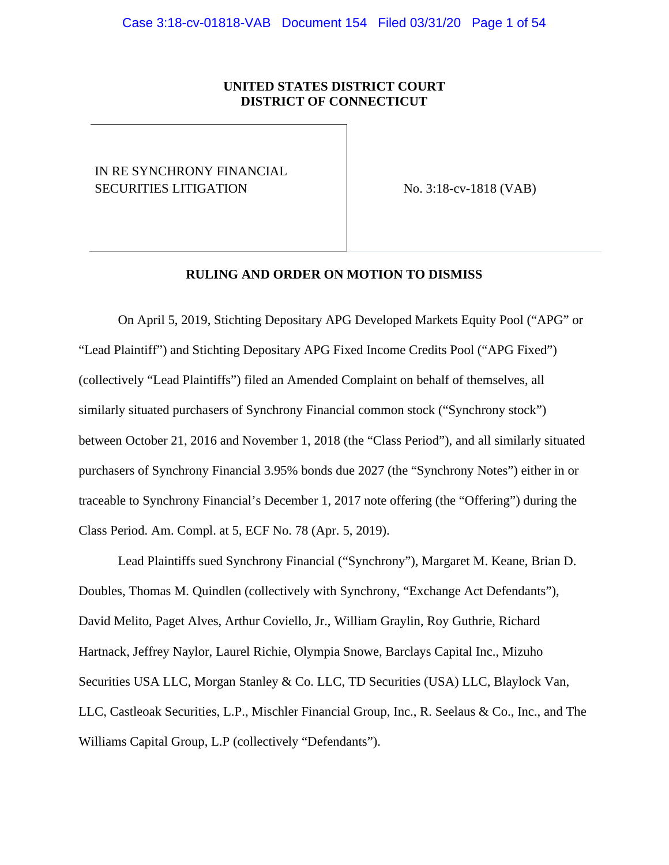## **UNITED STATES DISTRICT COURT DISTRICT OF CONNECTICUT**

# IN RE SYNCHRONY FINANCIAL SECURITIES LITIGATION No. 3:18-cv-1818 (VAB)

## **RULING AND ORDER ON MOTION TO DISMISS**

On April 5, 2019, Stichting Depositary APG Developed Markets Equity Pool ("APG" or "Lead Plaintiff") and Stichting Depositary APG Fixed Income Credits Pool ("APG Fixed") (collectively "Lead Plaintiffs") filed an Amended Complaint on behalf of themselves, all similarly situated purchasers of Synchrony Financial common stock ("Synchrony stock") between October 21, 2016 and November 1, 2018 (the "Class Period"), and all similarly situated purchasers of Synchrony Financial 3.95% bonds due 2027 (the "Synchrony Notes") either in or traceable to Synchrony Financial's December 1, 2017 note offering (the "Offering") during the Class Period. Am. Compl. at 5, ECF No. 78 (Apr. 5, 2019).

Lead Plaintiffs sued Synchrony Financial ("Synchrony"), Margaret M. Keane, Brian D. Doubles, Thomas M. Quindlen (collectively with Synchrony, "Exchange Act Defendants"), David Melito, Paget Alves, Arthur Coviello, Jr., William Graylin, Roy Guthrie, Richard Hartnack, Jeffrey Naylor, Laurel Richie, Olympia Snowe, Barclays Capital Inc., Mizuho Securities USA LLC, Morgan Stanley & Co. LLC, TD Securities (USA) LLC, Blaylock Van, LLC, Castleoak Securities, L.P., Mischler Financial Group, Inc., R. Seelaus & Co., Inc., and The Williams Capital Group, L.P (collectively "Defendants").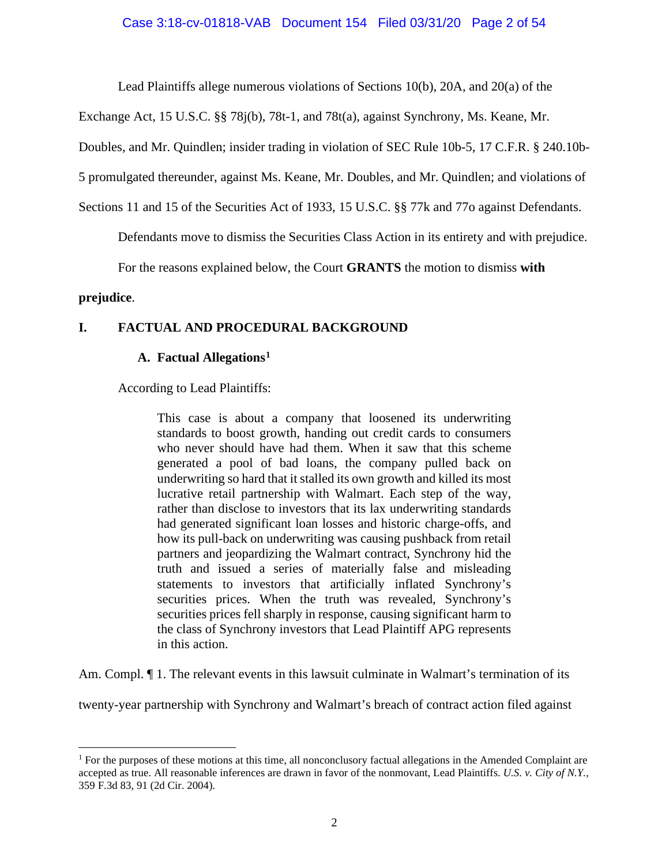Lead Plaintiffs allege numerous violations of Sections 10(b), 20A, and 20(a) of the

Exchange Act, 15 U.S.C. §§ 78j(b), 78t-1, and 78t(a), against Synchrony, Ms. Keane, Mr.

Doubles, and Mr. Quindlen; insider trading in violation of SEC Rule 10b-5, 17 C.F.R. § 240.10b-

5 promulgated thereunder, against Ms. Keane, Mr. Doubles, and Mr. Quindlen; and violations of

Sections 11 and 15 of the Securities Act of 1933, 15 U.S.C. §§ 77k and 77o against Defendants.

Defendants move to dismiss the Securities Class Action in its entirety and with prejudice.

For the reasons explained below, the Court **GRANTS** the motion to dismiss **with** 

## **prejudice**.

## **I. FACTUAL AND PROCEDURAL BACKGROUND**

## **A. Factual Allegations[1](#page-1-0)**

According to Lead Plaintiffs:

This case is about a company that loosened its underwriting standards to boost growth, handing out credit cards to consumers who never should have had them. When it saw that this scheme generated a pool of bad loans, the company pulled back on underwriting so hard that it stalled its own growth and killed its most lucrative retail partnership with Walmart. Each step of the way, rather than disclose to investors that its lax underwriting standards had generated significant loan losses and historic charge-offs, and how its pull-back on underwriting was causing pushback from retail partners and jeopardizing the Walmart contract, Synchrony hid the truth and issued a series of materially false and misleading statements to investors that artificially inflated Synchrony's securities prices. When the truth was revealed, Synchrony's securities prices fell sharply in response, causing significant harm to the class of Synchrony investors that Lead Plaintiff APG represents in this action.

Am. Compl.  $\P$  1. The relevant events in this lawsuit culminate in Walmart's termination of its

twenty-year partnership with Synchrony and Walmart's breach of contract action filed against

<span id="page-1-0"></span><sup>&</sup>lt;sup>1</sup> For the purposes of these motions at this time, all nonconclusory factual allegations in the Amended Complaint are accepted as true. All reasonable inferences are drawn in favor of the nonmovant, Lead Plaintiffs. *U.S. v. City of N.Y.*, 359 F.3d 83, 91 (2d Cir. 2004).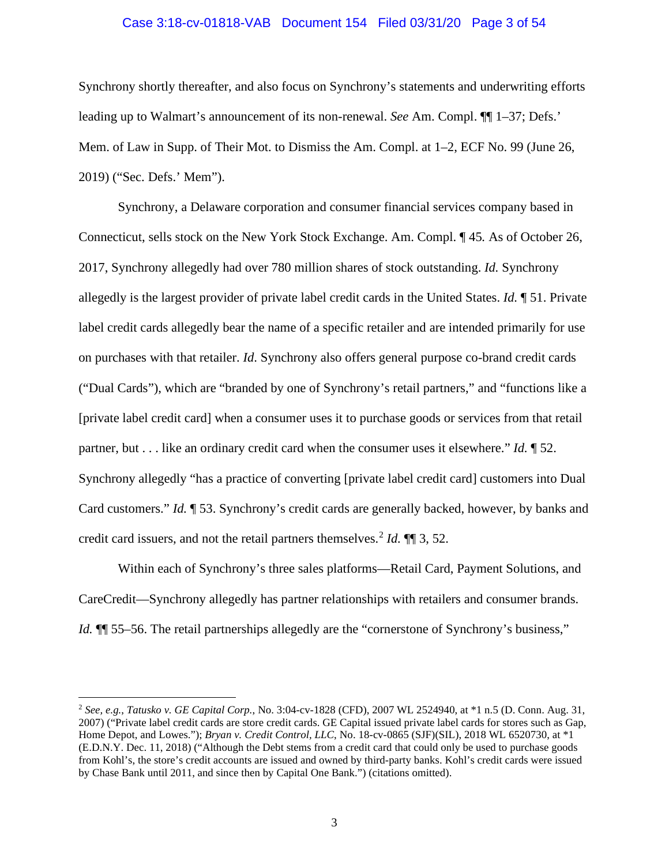#### Case 3:18-cv-01818-VAB Document 154 Filed 03/31/20 Page 3 of 54

Synchrony shortly thereafter, and also focus on Synchrony's statements and underwriting efforts leading up to Walmart's announcement of its non-renewal. *See* Am. Compl. ¶¶ 1–37; Defs.' Mem. of Law in Supp. of Their Mot. to Dismiss the Am. Compl. at 1–2, ECF No. 99 (June 26, 2019) ("Sec. Defs.' Mem").

Synchrony, a Delaware corporation and consumer financial services company based in Connecticut, sells stock on the New York Stock Exchange. Am. Compl. ¶ 45*.* As of October 26, 2017, Synchrony allegedly had over 780 million shares of stock outstanding. *Id.* Synchrony allegedly is the largest provider of private label credit cards in the United States. *Id.* ¶ 51. Private label credit cards allegedly bear the name of a specific retailer and are intended primarily for use on purchases with that retailer. *Id*. Synchrony also offers general purpose co-brand credit cards ("Dual Cards"), which are "branded by one of Synchrony's retail partners," and "functions like a [private label credit card] when a consumer uses it to purchase goods or services from that retail partner, but . . . like an ordinary credit card when the consumer uses it elsewhere." *Id.* ¶ 52. Synchrony allegedly "has a practice of converting [private label credit card] customers into Dual Card customers." *Id.* ¶ 53. Synchrony's credit cards are generally backed, however, by banks and credit card issuers, and not the retail partners themselves. [2](#page-2-0) *Id.* ¶¶ 3, 52.

Within each of Synchrony's three sales platforms—Retail Card, Payment Solutions, and CareCredit—Synchrony allegedly has partner relationships with retailers and consumer brands. *Id.*  $\P$  55–56. The retail partnerships allegedly are the "cornerstone of Synchrony's business,"

<span id="page-2-0"></span><sup>2</sup> *See, e.g.*, *Tatusko v. GE Capital Corp.*, No. 3:04-cv-1828 (CFD), 2007 WL 2524940, at \*1 n.5 (D. Conn. Aug. 31, 2007) ("Private label credit cards are store credit cards. GE Capital issued private label cards for stores such as Gap, Home Depot, and Lowes."); *Bryan v. Credit Control, LLC*, No. 18-cv-0865 (SJF)(SIL), 2018 WL 6520730, at \*1 (E.D.N.Y. Dec. 11, 2018) ("Although the Debt stems from a credit card that could only be used to purchase goods from Kohl's, the store's credit accounts are issued and owned by third-party banks. Kohl's credit cards were issued by Chase Bank until 2011, and since then by Capital One Bank.") (citations omitted).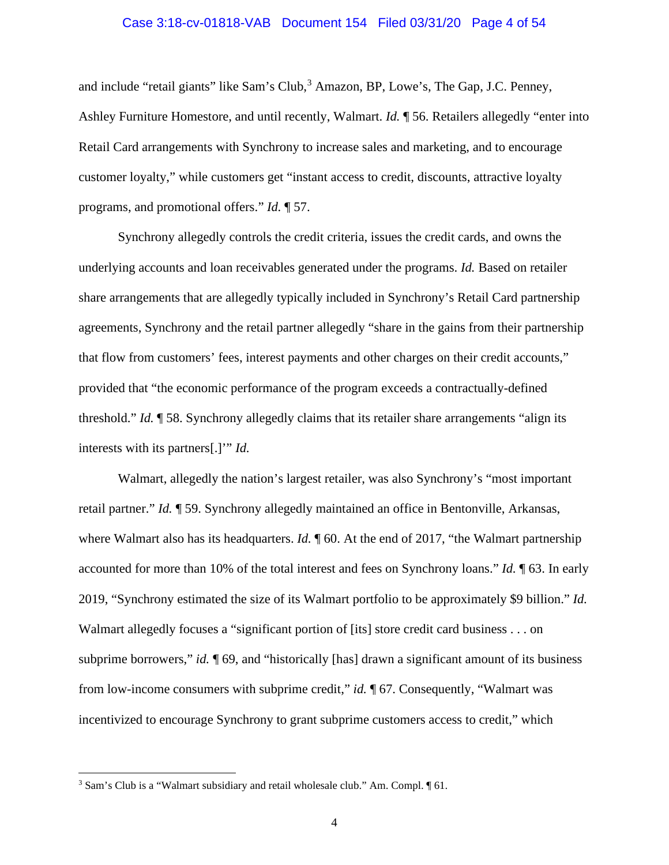#### Case 3:18-cv-01818-VAB Document 154 Filed 03/31/20 Page 4 of 54

and include "retail giants" like Sam's Club,<sup>[3](#page-3-0)</sup> Amazon, BP, Lowe's, The Gap, J.C. Penney, Ashley Furniture Homestore, and until recently, Walmart. *Id.* ¶ 56. Retailers allegedly "enter into Retail Card arrangements with Synchrony to increase sales and marketing, and to encourage customer loyalty," while customers get "instant access to credit, discounts, attractive loyalty programs, and promotional offers." *Id.* ¶ 57.

Synchrony allegedly controls the credit criteria, issues the credit cards, and owns the underlying accounts and loan receivables generated under the programs. *Id.* Based on retailer share arrangements that are allegedly typically included in Synchrony's Retail Card partnership agreements, Synchrony and the retail partner allegedly "share in the gains from their partnership that flow from customers' fees, interest payments and other charges on their credit accounts," provided that "the economic performance of the program exceeds a contractually-defined threshold." *Id.* ¶ 58. Synchrony allegedly claims that its retailer share arrangements "align its interests with its partners[.]'" *Id.*

Walmart, allegedly the nation's largest retailer, was also Synchrony's "most important retail partner." *Id.* ¶ 59. Synchrony allegedly maintained an office in Bentonville, Arkansas, where Walmart also has its headquarters. *Id.*  $\parallel$  60. At the end of 2017, "the Walmart partnership" accounted for more than 10% of the total interest and fees on Synchrony loans." *Id.* ¶ 63. In early 2019, "Synchrony estimated the size of its Walmart portfolio to be approximately \$9 billion." *Id.*  Walmart allegedly focuses a "significant portion of [its] store credit card business . . . on subprime borrowers," *id.* ¶ 69, and "historically [has] drawn a significant amount of its business from low-income consumers with subprime credit," *id.* ¶ 67. Consequently, "Walmart was incentivized to encourage Synchrony to grant subprime customers access to credit," which

<span id="page-3-0"></span><sup>&</sup>lt;sup>3</sup> Sam's Club is a "Walmart subsidiary and retail wholesale club." Am. Compl.  $\P$  61.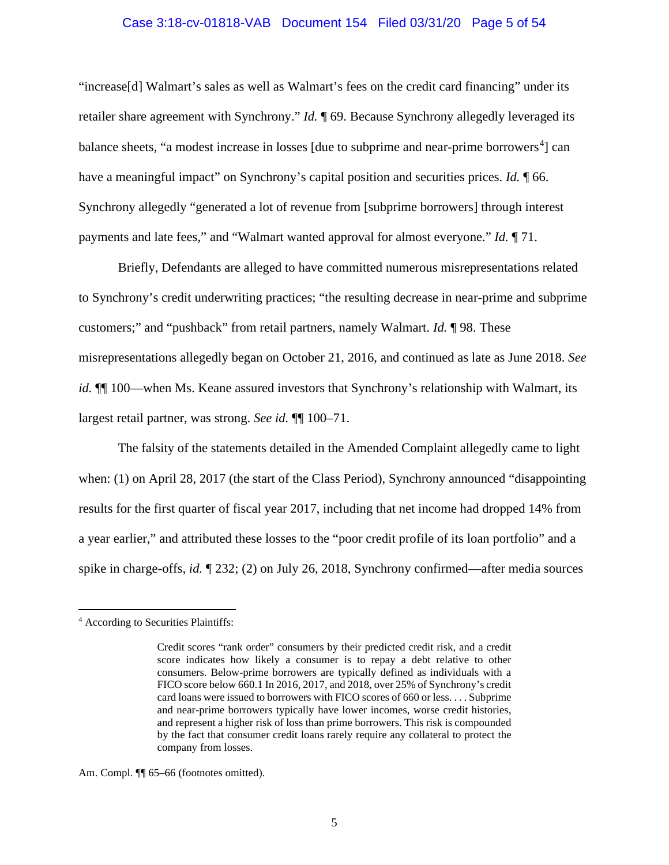#### Case 3:18-cv-01818-VAB Document 154 Filed 03/31/20 Page 5 of 54

"increase[d] Walmart's sales as well as Walmart's fees on the credit card financing" under its retailer share agreement with Synchrony." *Id.* ¶ 69. Because Synchrony allegedly leveraged its balance sheets, "a modest increase in losses [due to subprime and near-prime borrowers<sup>[4](#page-4-0)</sup>] can have a meaningful impact" on Synchrony's capital position and securities prices. *Id.* 166. Synchrony allegedly "generated a lot of revenue from [subprime borrowers] through interest payments and late fees," and "Walmart wanted approval for almost everyone." *Id.* ¶ 71.

Briefly, Defendants are alleged to have committed numerous misrepresentations related to Synchrony's credit underwriting practices; "the resulting decrease in near-prime and subprime customers;" and "pushback" from retail partners, namely Walmart. *Id.* ¶ 98. These misrepresentations allegedly began on October 21, 2016, and continued as late as June 2018. *See id.*  $\P$  100—when Ms. Keane assured investors that Synchrony's relationship with Walmart, its largest retail partner, was strong. *See id.* ¶¶ 100–71.

The falsity of the statements detailed in the Amended Complaint allegedly came to light when: (1) on April 28, 2017 (the start of the Class Period), Synchrony announced "disappointing results for the first quarter of fiscal year 2017, including that net income had dropped 14% from a year earlier," and attributed these losses to the "poor credit profile of its loan portfolio" and a spike in charge-offs, *id.* ¶ 232; (2) on July 26, 2018, Synchrony confirmed—after media sources

Am. Compl.  $\P$  65–66 (footnotes omitted).

<span id="page-4-0"></span><sup>4</sup> According to Securities Plaintiffs:

Credit scores "rank order" consumers by their predicted credit risk, and a credit score indicates how likely a consumer is to repay a debt relative to other consumers. Below-prime borrowers are typically defined as individuals with a FICO score below 660.1 In 2016, 2017, and 2018, over 25% of Synchrony's credit card loans were issued to borrowers with FICO scores of 660 or less. . . . Subprime and near-prime borrowers typically have lower incomes, worse credit histories, and represent a higher risk of loss than prime borrowers. This risk is compounded by the fact that consumer credit loans rarely require any collateral to protect the company from losses.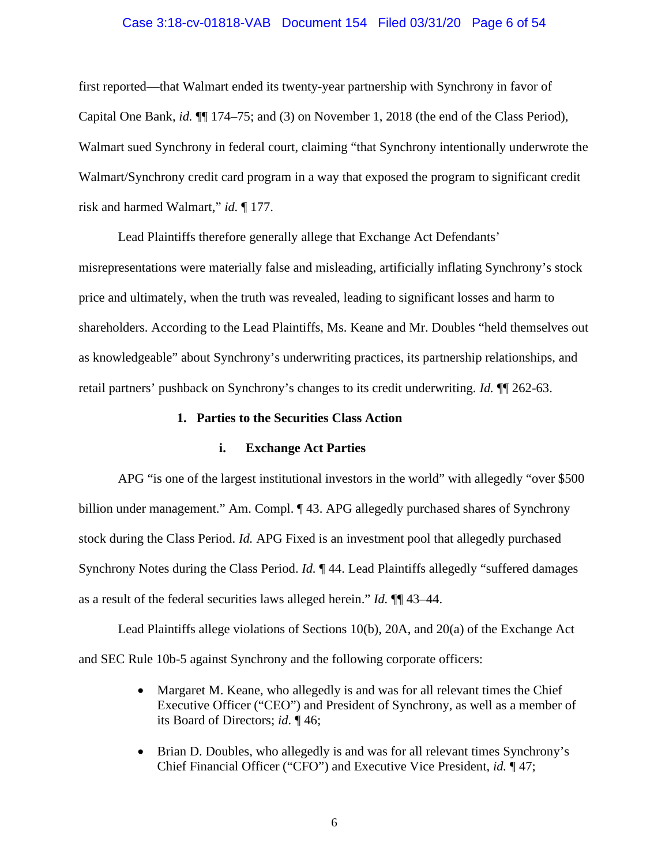#### Case 3:18-cv-01818-VAB Document 154 Filed 03/31/20 Page 6 of 54

first reported—that Walmart ended its twenty-year partnership with Synchrony in favor of Capital One Bank, *id.* ¶¶ 174–75; and (3) on November 1, 2018 (the end of the Class Period), Walmart sued Synchrony in federal court, claiming "that Synchrony intentionally underwrote the Walmart/Synchrony credit card program in a way that exposed the program to significant credit risk and harmed Walmart," *id.* ¶ 177.

Lead Plaintiffs therefore generally allege that Exchange Act Defendants' misrepresentations were materially false and misleading, artificially inflating Synchrony's stock price and ultimately, when the truth was revealed, leading to significant losses and harm to shareholders. According to the Lead Plaintiffs, Ms. Keane and Mr. Doubles "held themselves out as knowledgeable" about Synchrony's underwriting practices, its partnership relationships, and retail partners' pushback on Synchrony's changes to its credit underwriting. *Id.* ¶¶ 262-63.

### **1. Parties to the Securities Class Action**

#### **i. Exchange Act Parties**

APG "is one of the largest institutional investors in the world" with allegedly "over \$500 billion under management." Am. Compl. ¶ 43. APG allegedly purchased shares of Synchrony stock during the Class Period. *Id.* APG Fixed is an investment pool that allegedly purchased Synchrony Notes during the Class Period. *Id.* ¶ 44. Lead Plaintiffs allegedly "suffered damages as a result of the federal securities laws alleged herein." *Id.* ¶¶ 43–44.

Lead Plaintiffs allege violations of Sections 10(b), 20A, and 20(a) of the Exchange Act and SEC Rule 10b-5 against Synchrony and the following corporate officers:

- Margaret M. Keane, who allegedly is and was for all relevant times the Chief Executive Officer ("CEO") and President of Synchrony, as well as a member of its Board of Directors; *id.* ¶ 46;
- Brian D. Doubles, who allegedly is and was for all relevant times Synchrony's Chief Financial Officer ("CFO") and Executive Vice President, *id.* ¶ 47;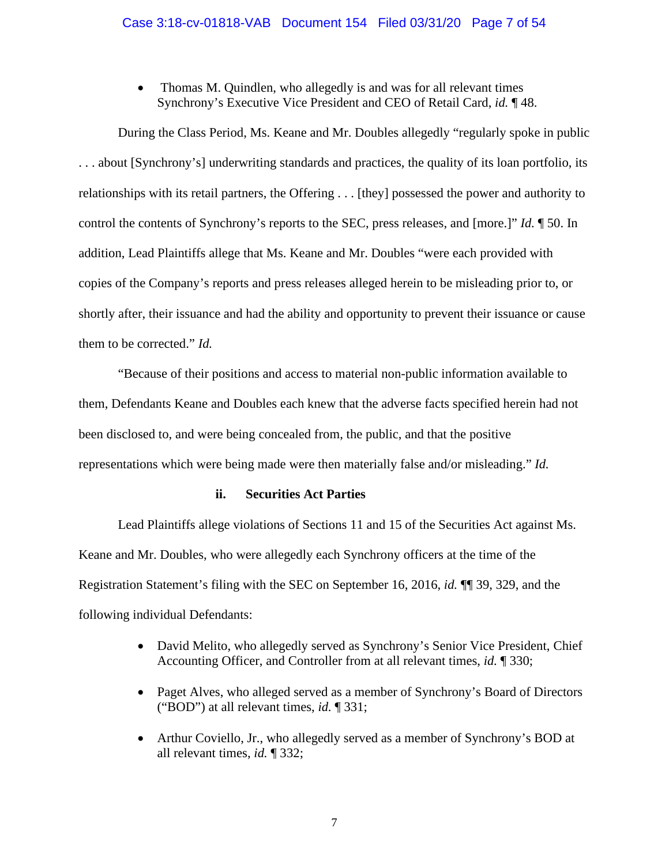• Thomas M. Quindlen, who allegedly is and was for all relevant times Synchrony's Executive Vice President and CEO of Retail Card, *id.* ¶ 48.

During the Class Period, Ms. Keane and Mr. Doubles allegedly "regularly spoke in public . . . about [Synchrony's] underwriting standards and practices, the quality of its loan portfolio, its relationships with its retail partners, the Offering . . . [they] possessed the power and authority to control the contents of Synchrony's reports to the SEC, press releases, and [more.]" *Id.* ¶ 50. In addition, Lead Plaintiffs allege that Ms. Keane and Mr. Doubles "were each provided with copies of the Company's reports and press releases alleged herein to be misleading prior to, or shortly after, their issuance and had the ability and opportunity to prevent their issuance or cause them to be corrected." *Id.* 

"Because of their positions and access to material non-public information available to them, Defendants Keane and Doubles each knew that the adverse facts specified herein had not been disclosed to, and were being concealed from, the public, and that the positive representations which were being made were then materially false and/or misleading." *Id.*

## **ii. Securities Act Parties**

Lead Plaintiffs allege violations of Sections 11 and 15 of the Securities Act against Ms. Keane and Mr. Doubles, who were allegedly each Synchrony officers at the time of the Registration Statement's filing with the SEC on September 16, 2016, *id.* ¶¶ 39, 329, and the following individual Defendants:

- David Melito, who allegedly served as Synchrony's Senior Vice President, Chief Accounting Officer, and Controller from at all relevant times, *id.* ¶ 330;
- Paget Alves, who alleged served as a member of Synchrony's Board of Directors ("BOD") at all relevant times, *id.* ¶ 331;
- Arthur Coviello, Jr., who allegedly served as a member of Synchrony's BOD at all relevant times, *id.* ¶ 332;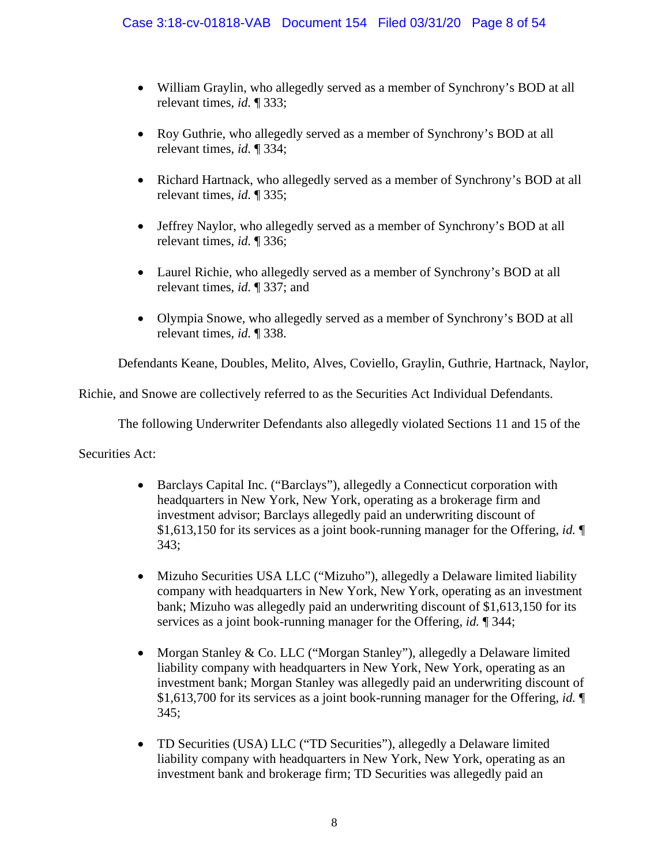- William Graylin, who allegedly served as a member of Synchrony's BOD at all relevant times, *id.* ¶ 333;
- Roy Guthrie, who allegedly served as a member of Synchrony's BOD at all relevant times, *id.* ¶ 334;
- Richard Hartnack, who allegedly served as a member of Synchrony's BOD at all relevant times, *id.* ¶ 335;
- Jeffrey Naylor, who allegedly served as a member of Synchrony's BOD at all relevant times, *id.* ¶ 336;
- Laurel Richie, who allegedly served as a member of Synchrony's BOD at all relevant times, *id.* ¶ 337; and
- Olympia Snowe, who allegedly served as a member of Synchrony's BOD at all relevant times, *id.* ¶ 338.

Defendants Keane, Doubles, Melito, Alves, Coviello, Graylin, Guthrie, Hartnack, Naylor,

Richie, and Snowe are collectively referred to as the Securities Act Individual Defendants.

The following Underwriter Defendants also allegedly violated Sections 11 and 15 of the

Securities Act:

- Barclays Capital Inc. ("Barclays"), allegedly a Connecticut corporation with headquarters in New York, New York, operating as a brokerage firm and investment advisor; Barclays allegedly paid an underwriting discount of \$1,613,150 for its services as a joint book-running manager for the Offering, *id.* ¶ 343;
- Mizuho Securities USA LLC ("Mizuho"), allegedly a Delaware limited liability company with headquarters in New York, New York, operating as an investment bank; Mizuho was allegedly paid an underwriting discount of \$1,613,150 for its services as a joint book-running manager for the Offering, *id.* ¶ 344;
- Morgan Stanley & Co. LLC ("Morgan Stanley"), allegedly a Delaware limited liability company with headquarters in New York, New York, operating as an investment bank; Morgan Stanley was allegedly paid an underwriting discount of \$1,613,700 for its services as a joint book-running manager for the Offering, *id.* ¶ 345;
- TD Securities (USA) LLC ("TD Securities"), allegedly a Delaware limited liability company with headquarters in New York, New York, operating as an investment bank and brokerage firm; TD Securities was allegedly paid an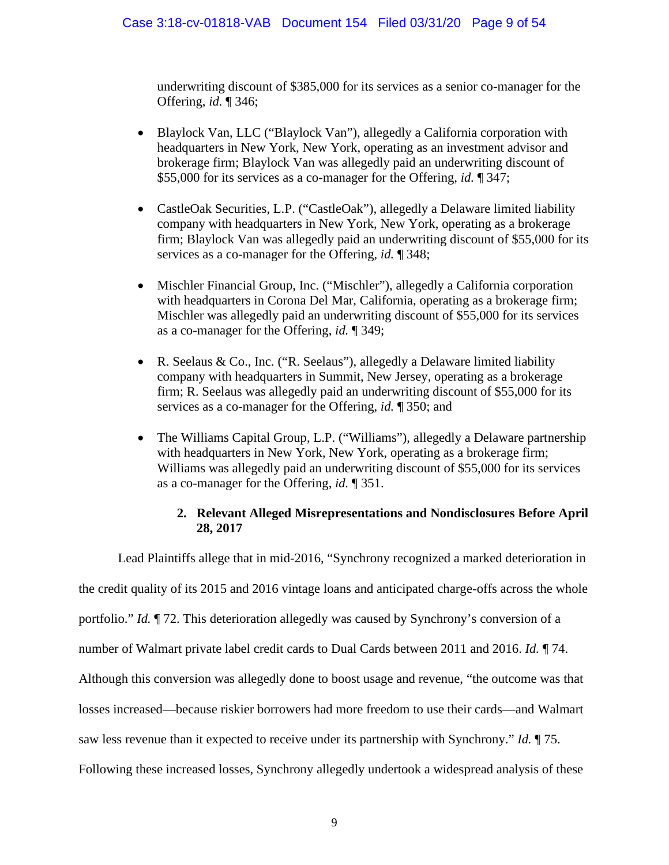underwriting discount of \$385,000 for its services as a senior co-manager for the Offering, *id.* ¶ 346;

- Blaylock Van, LLC ("Blaylock Van"), allegedly a California corporation with headquarters in New York, New York, operating as an investment advisor and brokerage firm; Blaylock Van was allegedly paid an underwriting discount of \$55,000 for its services as a co-manager for the Offering, *id.* ¶ 347;
- CastleOak Securities, L.P. ("CastleOak"), allegedly a Delaware limited liability company with headquarters in New York, New York, operating as a brokerage firm; Blaylock Van was allegedly paid an underwriting discount of \$55,000 for its services as a co-manager for the Offering, *id.* ¶ 348;
- Mischler Financial Group, Inc. ("Mischler"), allegedly a California corporation with headquarters in Corona Del Mar, California, operating as a brokerage firm; Mischler was allegedly paid an underwriting discount of \$55,000 for its services as a co-manager for the Offering, *id.* ¶ 349;
- R. Seelaus & Co., Inc. ("R. Seelaus"), allegedly a Delaware limited liability company with headquarters in Summit, New Jersey, operating as a brokerage firm; R. Seelaus was allegedly paid an underwriting discount of \$55,000 for its services as a co-manager for the Offering, *id.* ¶ 350; and
- The Williams Capital Group, L.P. ("Williams"), allegedly a Delaware partnership with headquarters in New York, New York, operating as a brokerage firm; Williams was allegedly paid an underwriting discount of \$55,000 for its services as a co-manager for the Offering, *id.* ¶ 351.

## **2. Relevant Alleged Misrepresentations and Nondisclosures Before April 28, 2017**

Lead Plaintiffs allege that in mid-2016, "Synchrony recognized a marked deterioration in the credit quality of its 2015 and 2016 vintage loans and anticipated charge-offs across the whole portfolio." *Id.* ¶ 72. This deterioration allegedly was caused by Synchrony's conversion of a number of Walmart private label credit cards to Dual Cards between 2011 and 2016. *Id.* ¶ 74. Although this conversion was allegedly done to boost usage and revenue, "the outcome was that losses increased—because riskier borrowers had more freedom to use their cards—and Walmart saw less revenue than it expected to receive under its partnership with Synchrony." *Id.* ¶ 75. Following these increased losses, Synchrony allegedly undertook a widespread analysis of these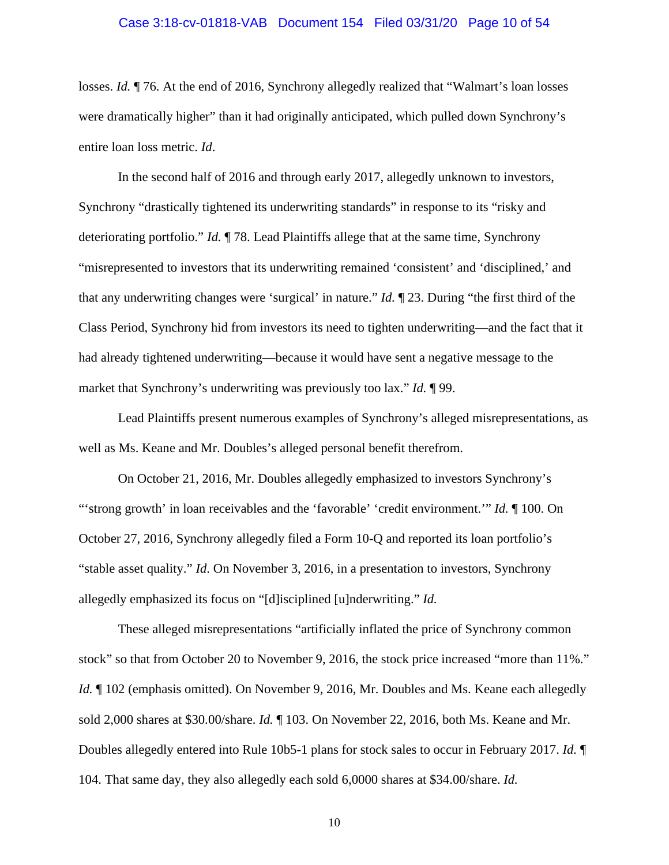#### Case 3:18-cv-01818-VAB Document 154 Filed 03/31/20 Page 10 of 54

losses. *Id.* ¶ 76. At the end of 2016, Synchrony allegedly realized that "Walmart's loan losses were dramatically higher" than it had originally anticipated, which pulled down Synchrony's entire loan loss metric. *Id*.

In the second half of 2016 and through early 2017, allegedly unknown to investors, Synchrony "drastically tightened its underwriting standards" in response to its "risky and deteriorating portfolio." *Id.* ¶ 78. Lead Plaintiffs allege that at the same time, Synchrony "misrepresented to investors that its underwriting remained 'consistent' and 'disciplined,' and that any underwriting changes were 'surgical' in nature." *Id.* ¶ 23. During "the first third of the Class Period, Synchrony hid from investors its need to tighten underwriting—and the fact that it had already tightened underwriting—because it would have sent a negative message to the market that Synchrony's underwriting was previously too lax." *Id.* ¶ 99.

Lead Plaintiffs present numerous examples of Synchrony's alleged misrepresentations, as well as Ms. Keane and Mr. Doubles's alleged personal benefit therefrom.

On October 21, 2016, Mr. Doubles allegedly emphasized to investors Synchrony's "'strong growth' in loan receivables and the 'favorable' 'credit environment.'" *Id.* ¶ 100. On October 27, 2016, Synchrony allegedly filed a Form 10-Q and reported its loan portfolio's "stable asset quality." *Id*. On November 3, 2016, in a presentation to investors, Synchrony allegedly emphasized its focus on "[d]isciplined [u]nderwriting." *Id.*

These alleged misrepresentations "artificially inflated the price of Synchrony common stock" so that from October 20 to November 9, 2016, the stock price increased "more than 11%." *Id.*  $\parallel$  102 (emphasis omitted). On November 9, 2016, Mr. Doubles and Ms. Keane each allegedly sold 2,000 shares at \$30.00/share. *Id.* ¶ 103. On November 22, 2016, both Ms. Keane and Mr. Doubles allegedly entered into Rule 10b5-1 plans for stock sales to occur in February 2017. *Id.* ¶ 104. That same day, they also allegedly each sold 6,0000 shares at \$34.00/share. *Id.*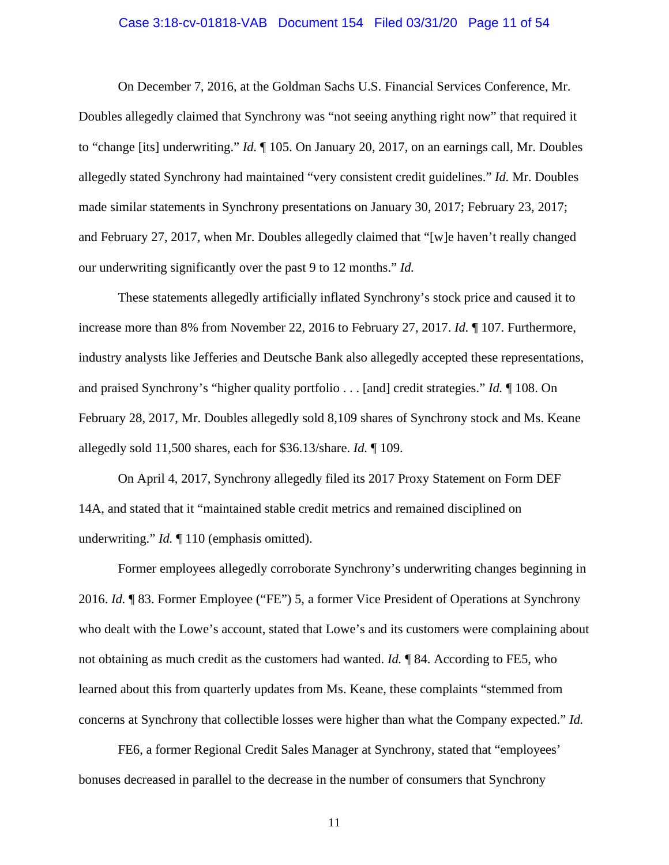#### Case 3:18-cv-01818-VAB Document 154 Filed 03/31/20 Page 11 of 54

On December 7, 2016, at the Goldman Sachs U.S. Financial Services Conference, Mr. Doubles allegedly claimed that Synchrony was "not seeing anything right now" that required it to "change [its] underwriting." *Id.* ¶ 105. On January 20, 2017, on an earnings call, Mr. Doubles allegedly stated Synchrony had maintained "very consistent credit guidelines." *Id.* Mr. Doubles made similar statements in Synchrony presentations on January 30, 2017; February 23, 2017; and February 27, 2017, when Mr. Doubles allegedly claimed that "[w]e haven't really changed our underwriting significantly over the past 9 to 12 months." *Id.*

These statements allegedly artificially inflated Synchrony's stock price and caused it to increase more than 8% from November 22, 2016 to February 27, 2017. *Id.* ¶ 107. Furthermore, industry analysts like Jefferies and Deutsche Bank also allegedly accepted these representations, and praised Synchrony's "higher quality portfolio . . . [and] credit strategies." *Id.* ¶ 108. On February 28, 2017, Mr. Doubles allegedly sold 8,109 shares of Synchrony stock and Ms. Keane allegedly sold 11,500 shares, each for \$36.13/share. *Id.* ¶ 109.

On April 4, 2017, Synchrony allegedly filed its 2017 Proxy Statement on Form DEF 14A, and stated that it "maintained stable credit metrics and remained disciplined on underwriting." *Id.* ¶ 110 (emphasis omitted).

Former employees allegedly corroborate Synchrony's underwriting changes beginning in 2016. *Id.* ¶ 83. Former Employee ("FE") 5, a former Vice President of Operations at Synchrony who dealt with the Lowe's account, stated that Lowe's and its customers were complaining about not obtaining as much credit as the customers had wanted. *Id.* ¶ 84. According to FE5, who learned about this from quarterly updates from Ms. Keane, these complaints "stemmed from concerns at Synchrony that collectible losses were higher than what the Company expected." *Id.*

FE6, a former Regional Credit Sales Manager at Synchrony, stated that "employees' bonuses decreased in parallel to the decrease in the number of consumers that Synchrony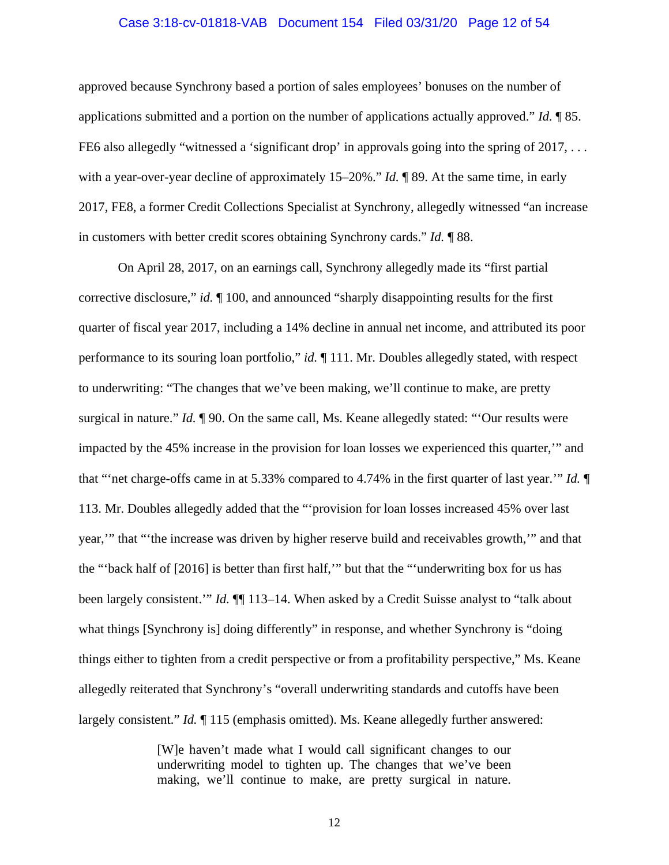#### Case 3:18-cv-01818-VAB Document 154 Filed 03/31/20 Page 12 of 54

approved because Synchrony based a portion of sales employees' bonuses on the number of applications submitted and a portion on the number of applications actually approved." *Id.* ¶ 85. FE6 also allegedly "witnessed a 'significant drop' in approvals going into the spring of 2017, ... with a year-over-year decline of approximately 15–20%." *Id.* ¶ 89. At the same time, in early 2017, FE8, a former Credit Collections Specialist at Synchrony, allegedly witnessed "an increase in customers with better credit scores obtaining Synchrony cards." *Id.* ¶ 88.

On April 28, 2017, on an earnings call, Synchrony allegedly made its "first partial corrective disclosure," *id.* ¶ 100, and announced "sharply disappointing results for the first quarter of fiscal year 2017, including a 14% decline in annual net income, and attributed its poor performance to its souring loan portfolio," *id.* ¶ 111. Mr. Doubles allegedly stated, with respect to underwriting: "The changes that we've been making, we'll continue to make, are pretty surgical in nature." *Id.* ¶ 90. On the same call, Ms. Keane allegedly stated: "'Our results were impacted by the 45% increase in the provision for loan losses we experienced this quarter,'" and that "'net charge-offs came in at 5.33% compared to 4.74% in the first quarter of last year.'" *Id.* ¶ 113. Mr. Doubles allegedly added that the "'provision for loan losses increased 45% over last year,'" that "'the increase was driven by higher reserve build and receivables growth,'" and that the "'back half of [2016] is better than first half,'" but that the "'underwriting box for us has been largely consistent." *Id.*  $\P$  113–14. When asked by a Credit Suisse analyst to "talk about what things [Synchrony is] doing differently" in response, and whether Synchrony is "doing things either to tighten from a credit perspective or from a profitability perspective," Ms. Keane allegedly reiterated that Synchrony's "overall underwriting standards and cutoffs have been largely consistent." *Id.* ¶ 115 (emphasis omitted). Ms. Keane allegedly further answered:

> [W]e haven't made what I would call significant changes to our underwriting model to tighten up. The changes that we've been making, we'll continue to make, are pretty surgical in nature.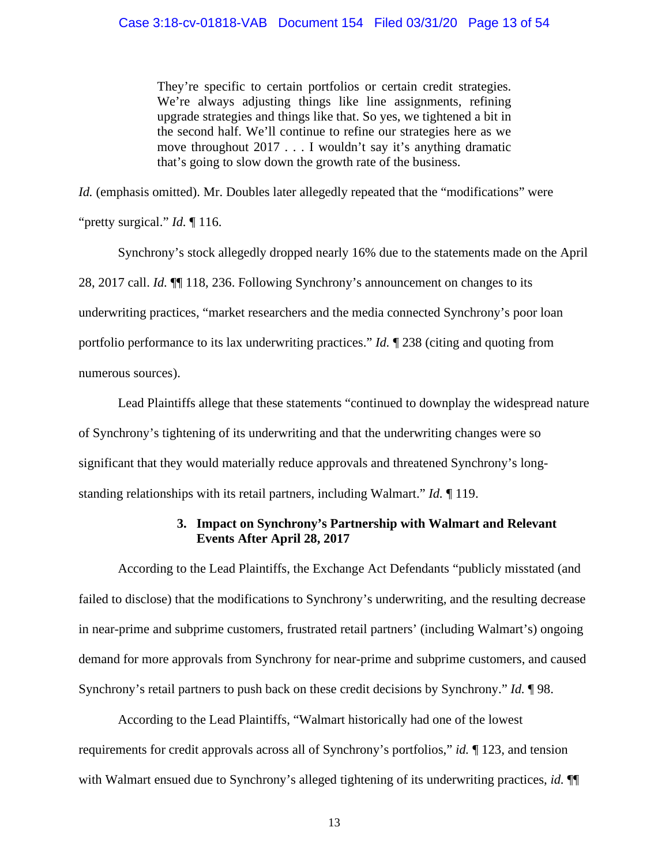They're specific to certain portfolios or certain credit strategies. We're always adjusting things like line assignments, refining upgrade strategies and things like that. So yes, we tightened a bit in the second half. We'll continue to refine our strategies here as we move throughout 2017 . . . I wouldn't say it's anything dramatic that's going to slow down the growth rate of the business.

*Id.* (emphasis omitted). Mr. Doubles later allegedly repeated that the "modifications" were

"pretty surgical." *Id.* ¶ 116.

Synchrony's stock allegedly dropped nearly 16% due to the statements made on the April 28, 2017 call. *Id.* ¶¶ 118, 236. Following Synchrony's announcement on changes to its underwriting practices, "market researchers and the media connected Synchrony's poor loan portfolio performance to its lax underwriting practices." *Id.* ¶ 238 (citing and quoting from numerous sources).

Lead Plaintiffs allege that these statements "continued to downplay the widespread nature of Synchrony's tightening of its underwriting and that the underwriting changes were so significant that they would materially reduce approvals and threatened Synchrony's longstanding relationships with its retail partners, including Walmart." *Id.* ¶ 119.

## **3. Impact on Synchrony's Partnership with Walmart and Relevant Events After April 28, 2017**

According to the Lead Plaintiffs, the Exchange Act Defendants "publicly misstated (and failed to disclose) that the modifications to Synchrony's underwriting, and the resulting decrease in near-prime and subprime customers, frustrated retail partners' (including Walmart's) ongoing demand for more approvals from Synchrony for near-prime and subprime customers, and caused Synchrony's retail partners to push back on these credit decisions by Synchrony." *Id.* ¶ 98.

According to the Lead Plaintiffs, "Walmart historically had one of the lowest requirements for credit approvals across all of Synchrony's portfolios," *id.* ¶ 123, and tension with Walmart ensued due to Synchrony's alleged tightening of its underwriting practices, *id.* ¶¶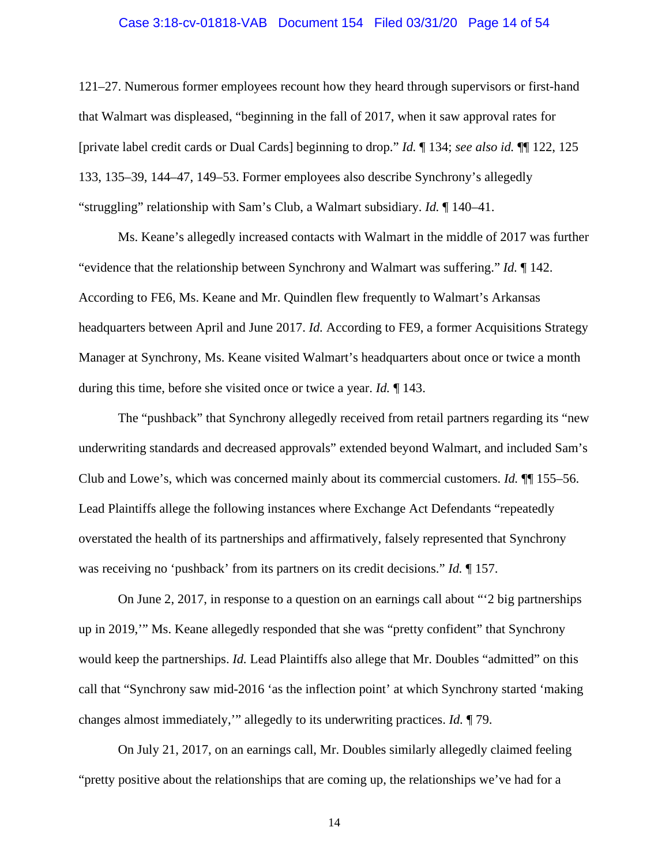#### Case 3:18-cv-01818-VAB Document 154 Filed 03/31/20 Page 14 of 54

121–27. Numerous former employees recount how they heard through supervisors or first-hand that Walmart was displeased, "beginning in the fall of 2017, when it saw approval rates for [private label credit cards or Dual Cards] beginning to drop." *Id.* ¶ 134; *see also id.* ¶¶ 122, 125 133, 135–39, 144–47, 149–53. Former employees also describe Synchrony's allegedly "struggling" relationship with Sam's Club, a Walmart subsidiary. *Id.* ¶ 140–41.

Ms. Keane's allegedly increased contacts with Walmart in the middle of 2017 was further "evidence that the relationship between Synchrony and Walmart was suffering." *Id.* ¶ 142. According to FE6, Ms. Keane and Mr. Quindlen flew frequently to Walmart's Arkansas headquarters between April and June 2017. *Id.* According to FE9, a former Acquisitions Strategy Manager at Synchrony, Ms. Keane visited Walmart's headquarters about once or twice a month during this time, before she visited once or twice a year. *Id.* ¶ 143.

The "pushback" that Synchrony allegedly received from retail partners regarding its "new underwriting standards and decreased approvals" extended beyond Walmart, and included Sam's Club and Lowe's, which was concerned mainly about its commercial customers. *Id.* ¶¶ 155–56. Lead Plaintiffs allege the following instances where Exchange Act Defendants "repeatedly overstated the health of its partnerships and affirmatively, falsely represented that Synchrony was receiving no 'pushback' from its partners on its credit decisions." *Id.* ¶ 157.

On June 2, 2017, in response to a question on an earnings call about "'2 big partnerships up in 2019,'" Ms. Keane allegedly responded that she was "pretty confident" that Synchrony would keep the partnerships. *Id.* Lead Plaintiffs also allege that Mr. Doubles "admitted" on this call that "Synchrony saw mid-2016 'as the inflection point' at which Synchrony started 'making changes almost immediately,'" allegedly to its underwriting practices. *Id.* ¶ 79.

On July 21, 2017, on an earnings call, Mr. Doubles similarly allegedly claimed feeling "pretty positive about the relationships that are coming up, the relationships we've had for a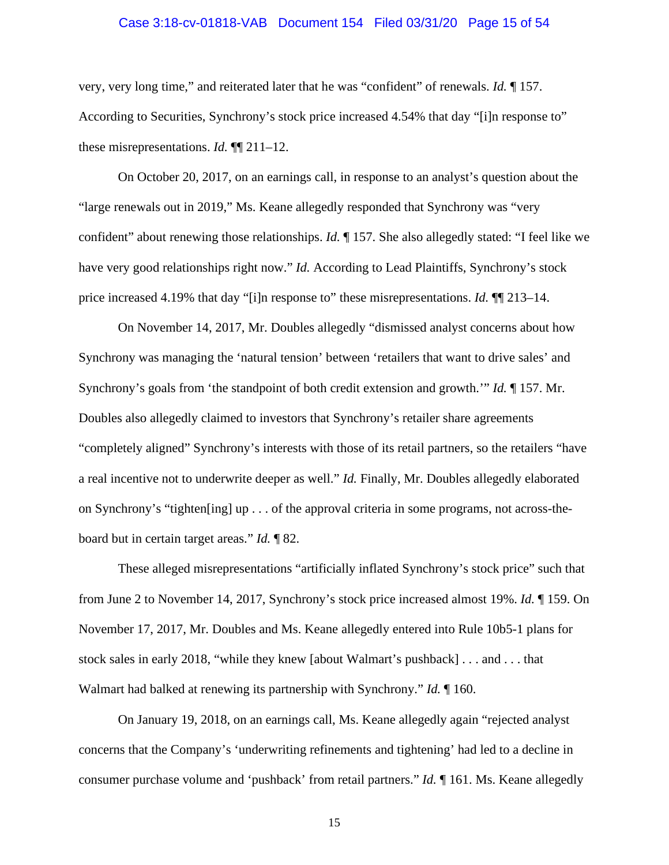#### Case 3:18-cv-01818-VAB Document 154 Filed 03/31/20 Page 15 of 54

very, very long time," and reiterated later that he was "confident" of renewals. *Id.* ¶ 157. According to Securities, Synchrony's stock price increased 4.54% that day "[i]n response to" these misrepresentations. *Id.* ¶¶ 211–12.

On October 20, 2017, on an earnings call, in response to an analyst's question about the "large renewals out in 2019," Ms. Keane allegedly responded that Synchrony was "very confident" about renewing those relationships. *Id.* ¶ 157. She also allegedly stated: "I feel like we have very good relationships right now." *Id.* According to Lead Plaintiffs, Synchrony's stock price increased 4.19% that day "[i]n response to" these misrepresentations. *Id.* ¶¶ 213–14.

On November 14, 2017, Mr. Doubles allegedly "dismissed analyst concerns about how Synchrony was managing the 'natural tension' between 'retailers that want to drive sales' and Synchrony's goals from 'the standpoint of both credit extension and growth.'" *Id.* ¶ 157. Mr. Doubles also allegedly claimed to investors that Synchrony's retailer share agreements "completely aligned" Synchrony's interests with those of its retail partners, so the retailers "have a real incentive not to underwrite deeper as well." *Id.* Finally, Mr. Doubles allegedly elaborated on Synchrony's "tighten[ing] up . . . of the approval criteria in some programs, not across-theboard but in certain target areas." *Id.* ¶ 82.

These alleged misrepresentations "artificially inflated Synchrony's stock price" such that from June 2 to November 14, 2017, Synchrony's stock price increased almost 19%. *Id.* ¶ 159. On November 17, 2017, Mr. Doubles and Ms. Keane allegedly entered into Rule 10b5-1 plans for stock sales in early 2018, "while they knew [about Walmart's pushback] . . . and . . . that Walmart had balked at renewing its partnership with Synchrony." *Id.* ¶ 160.

On January 19, 2018, on an earnings call, Ms. Keane allegedly again "rejected analyst concerns that the Company's 'underwriting refinements and tightening' had led to a decline in consumer purchase volume and 'pushback' from retail partners." *Id.* ¶ 161. Ms. Keane allegedly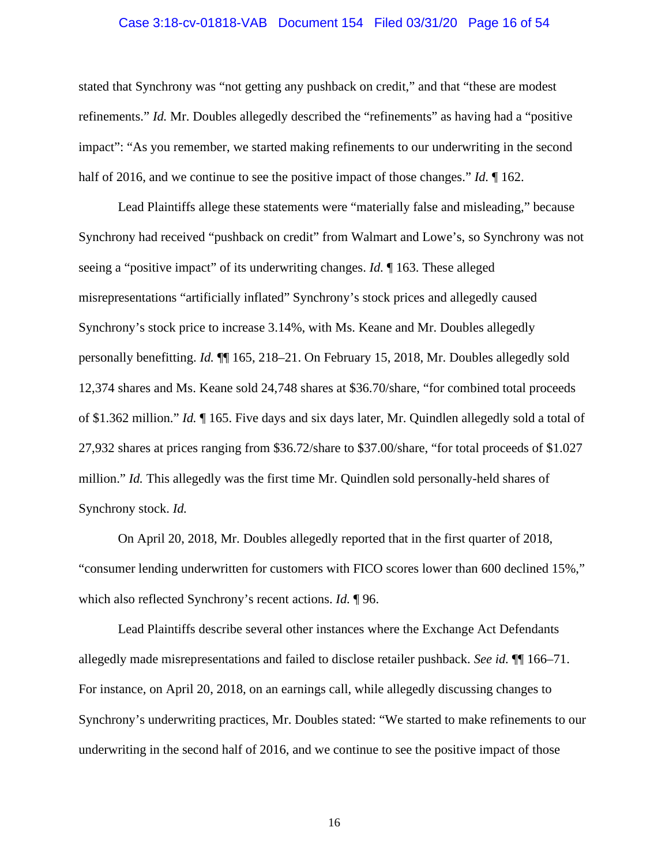#### Case 3:18-cv-01818-VAB Document 154 Filed 03/31/20 Page 16 of 54

stated that Synchrony was "not getting any pushback on credit," and that "these are modest refinements." *Id.* Mr. Doubles allegedly described the "refinements" as having had a "positive impact": "As you remember, we started making refinements to our underwriting in the second half of 2016, and we continue to see the positive impact of those changes." *Id.* ¶ 162.

Lead Plaintiffs allege these statements were "materially false and misleading," because Synchrony had received "pushback on credit" from Walmart and Lowe's, so Synchrony was not seeing a "positive impact" of its underwriting changes. *Id.* ¶ 163. These alleged misrepresentations "artificially inflated" Synchrony's stock prices and allegedly caused Synchrony's stock price to increase 3.14%, with Ms. Keane and Mr. Doubles allegedly personally benefitting. *Id.* ¶¶ 165, 218–21. On February 15, 2018, Mr. Doubles allegedly sold 12,374 shares and Ms. Keane sold 24,748 shares at \$36.70/share, "for combined total proceeds of \$1.362 million." *Id.* ¶ 165. Five days and six days later, Mr. Quindlen allegedly sold a total of 27,932 shares at prices ranging from \$36.72/share to \$37.00/share, "for total proceeds of \$1.027 million." *Id.* This allegedly was the first time Mr. Quindlen sold personally-held shares of Synchrony stock. *Id.*

On April 20, 2018, Mr. Doubles allegedly reported that in the first quarter of 2018, "consumer lending underwritten for customers with FICO scores lower than 600 declined 15%," which also reflected Synchrony's recent actions. *Id.* ¶ 96.

Lead Plaintiffs describe several other instances where the Exchange Act Defendants allegedly made misrepresentations and failed to disclose retailer pushback. *See id.* ¶¶ 166–71. For instance, on April 20, 2018, on an earnings call, while allegedly discussing changes to Synchrony's underwriting practices, Mr. Doubles stated: "We started to make refinements to our underwriting in the second half of 2016, and we continue to see the positive impact of those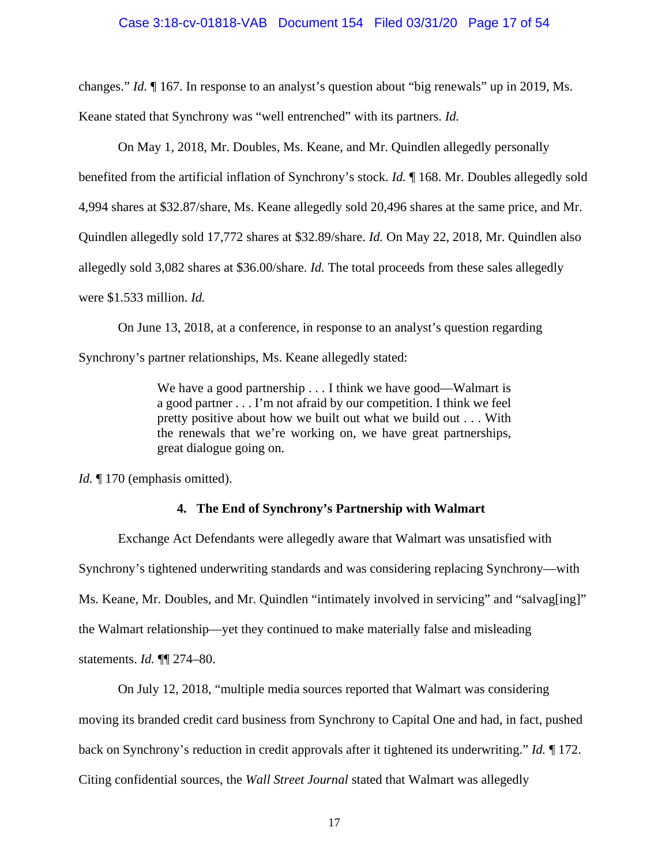changes." *Id.* ¶ 167. In response to an analyst's question about "big renewals" up in 2019, Ms.

Keane stated that Synchrony was "well entrenched" with its partners. *Id.*

On May 1, 2018, Mr. Doubles, Ms. Keane, and Mr. Quindlen allegedly personally

benefited from the artificial inflation of Synchrony's stock. *Id.* ¶ 168. Mr. Doubles allegedly sold

4,994 shares at \$32.87/share, Ms. Keane allegedly sold 20,496 shares at the same price, and Mr.

Quindlen allegedly sold 17,772 shares at \$32.89/share. *Id.* On May 22, 2018, Mr. Quindlen also

allegedly sold 3,082 shares at \$36.00/share. *Id.* The total proceeds from these sales allegedly

were \$1.533 million. *Id.*

On June 13, 2018, at a conference, in response to an analyst's question regarding

Synchrony's partner relationships, Ms. Keane allegedly stated:

We have a good partnership . . . I think we have good—Walmart is a good partner . . . I'm not afraid by our competition. I think we feel pretty positive about how we built out what we build out . . . With the renewals that we're working on, we have great partnerships, great dialogue going on.

*Id.* 170 (emphasis omitted).

#### **4. The End of Synchrony's Partnership with Walmart**

Exchange Act Defendants were allegedly aware that Walmart was unsatisfied with Synchrony's tightened underwriting standards and was considering replacing Synchrony—with Ms. Keane, Mr. Doubles, and Mr. Quindlen "intimately involved in servicing" and "salvag[ing]" the Walmart relationship—yet they continued to make materially false and misleading statements. *Id.* ¶¶ 274–80.

On July 12, 2018, "multiple media sources reported that Walmart was considering moving its branded credit card business from Synchrony to Capital One and had, in fact, pushed back on Synchrony's reduction in credit approvals after it tightened its underwriting." *Id.* ¶ 172. Citing confidential sources, the *Wall Street Journal* stated that Walmart was allegedly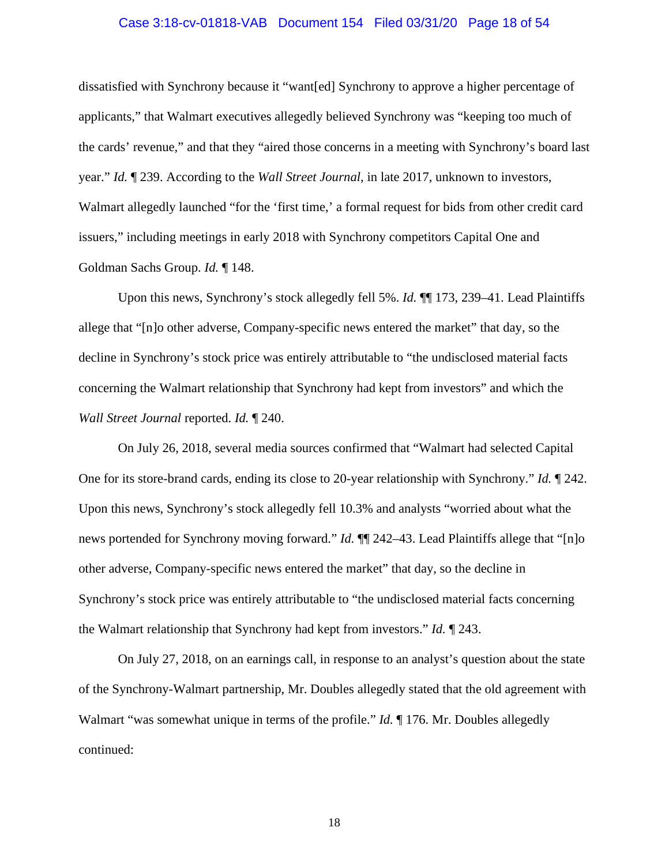#### Case 3:18-cv-01818-VAB Document 154 Filed 03/31/20 Page 18 of 54

dissatisfied with Synchrony because it "want[ed] Synchrony to approve a higher percentage of applicants," that Walmart executives allegedly believed Synchrony was "keeping too much of the cards' revenue," and that they "aired those concerns in a meeting with Synchrony's board last year." *Id.* ¶ 239. According to the *Wall Street Journal*, in late 2017, unknown to investors, Walmart allegedly launched "for the 'first time,' a formal request for bids from other credit card issuers," including meetings in early 2018 with Synchrony competitors Capital One and Goldman Sachs Group. *Id.* ¶ 148.

Upon this news, Synchrony's stock allegedly fell 5%. *Id.* ¶¶ 173, 239–41. Lead Plaintiffs allege that "[n]o other adverse, Company-specific news entered the market" that day, so the decline in Synchrony's stock price was entirely attributable to "the undisclosed material facts concerning the Walmart relationship that Synchrony had kept from investors" and which the *Wall Street Journal* reported. *Id.* ¶ 240.

On July 26, 2018, several media sources confirmed that "Walmart had selected Capital One for its store-brand cards, ending its close to 20-year relationship with Synchrony." *Id.* ¶ 242. Upon this news, Synchrony's stock allegedly fell 10.3% and analysts "worried about what the news portended for Synchrony moving forward." *Id.* ¶¶ 242–43. Lead Plaintiffs allege that "[n]o other adverse, Company-specific news entered the market" that day, so the decline in Synchrony's stock price was entirely attributable to "the undisclosed material facts concerning the Walmart relationship that Synchrony had kept from investors." *Id.* ¶ 243.

On July 27, 2018, on an earnings call, in response to an analyst's question about the state of the Synchrony-Walmart partnership, Mr. Doubles allegedly stated that the old agreement with Walmart "was somewhat unique in terms of the profile." *Id.* 176. Mr. Doubles allegedly continued: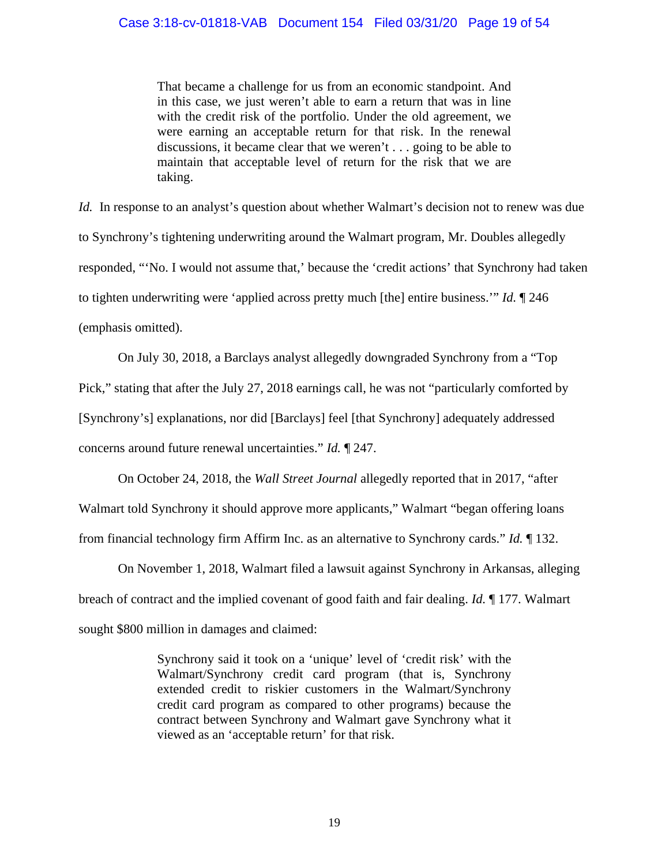That became a challenge for us from an economic standpoint. And in this case, we just weren't able to earn a return that was in line with the credit risk of the portfolio. Under the old agreement, we were earning an acceptable return for that risk. In the renewal discussions, it became clear that we weren't . . . going to be able to maintain that acceptable level of return for the risk that we are taking.

*Id.* In response to an analyst's question about whether Walmart's decision not to renew was due to Synchrony's tightening underwriting around the Walmart program, Mr. Doubles allegedly responded, "'No. I would not assume that,' because the 'credit actions' that Synchrony had taken to tighten underwriting were 'applied across pretty much [the] entire business.'" *Id.* ¶ 246 (emphasis omitted).

On July 30, 2018, a Barclays analyst allegedly downgraded Synchrony from a "Top Pick," stating that after the July 27, 2018 earnings call, he was not "particularly comforted by [Synchrony's] explanations, nor did [Barclays] feel [that Synchrony] adequately addressed concerns around future renewal uncertainties." *Id.* ¶ 247.

On October 24, 2018, the *Wall Street Journal* allegedly reported that in 2017, "after Walmart told Synchrony it should approve more applicants," Walmart "began offering loans from financial technology firm Affirm Inc. as an alternative to Synchrony cards." *Id.* ¶ 132.

On November 1, 2018, Walmart filed a lawsuit against Synchrony in Arkansas, alleging breach of contract and the implied covenant of good faith and fair dealing. *Id.* ¶ 177. Walmart sought \$800 million in damages and claimed:

> Synchrony said it took on a 'unique' level of 'credit risk' with the Walmart/Synchrony credit card program (that is, Synchrony extended credit to riskier customers in the Walmart/Synchrony credit card program as compared to other programs) because the contract between Synchrony and Walmart gave Synchrony what it viewed as an 'acceptable return' for that risk.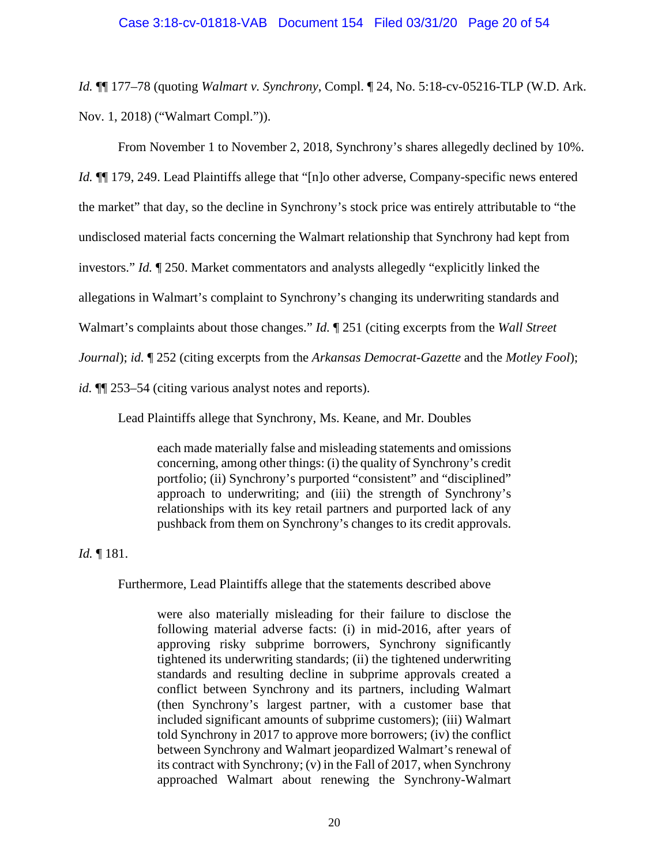*Id.* ¶¶ 177–78 (quoting *Walmart v. Synchrony*, Compl. ¶ 24, No. 5:18-cv-05216-TLP (W.D. Ark. Nov. 1, 2018) ("Walmart Compl.")).

From November 1 to November 2, 2018, Synchrony's shares allegedly declined by 10%. *Id.* ¶¶ 179, 249. Lead Plaintiffs allege that "[n]o other adverse, Company-specific news entered the market" that day, so the decline in Synchrony's stock price was entirely attributable to "the undisclosed material facts concerning the Walmart relationship that Synchrony had kept from investors." *Id.* ¶ 250. Market commentators and analysts allegedly "explicitly linked the allegations in Walmart's complaint to Synchrony's changing its underwriting standards and Walmart's complaints about those changes." *Id.* ¶ 251 (citing excerpts from the *Wall Street Journal*); *id.* ¶ 252 (citing excerpts from the *Arkansas Democrat-Gazette* and the *Motley Fool*); *id.* ¶¶ 253–54 (citing various analyst notes and reports).

Lead Plaintiffs allege that Synchrony, Ms. Keane, and Mr. Doubles

each made materially false and misleading statements and omissions concerning, among other things: (i) the quality of Synchrony's credit portfolio; (ii) Synchrony's purported "consistent" and "disciplined" approach to underwriting; and (iii) the strength of Synchrony's relationships with its key retail partners and purported lack of any pushback from them on Synchrony's changes to its credit approvals.

*Id.* ¶ 181.

Furthermore, Lead Plaintiffs allege that the statements described above

were also materially misleading for their failure to disclose the following material adverse facts: (i) in mid-2016, after years of approving risky subprime borrowers, Synchrony significantly tightened its underwriting standards; (ii) the tightened underwriting standards and resulting decline in subprime approvals created a conflict between Synchrony and its partners, including Walmart (then Synchrony's largest partner, with a customer base that included significant amounts of subprime customers); (iii) Walmart told Synchrony in 2017 to approve more borrowers; (iv) the conflict between Synchrony and Walmart jeopardized Walmart's renewal of its contract with Synchrony; (v) in the Fall of 2017, when Synchrony approached Walmart about renewing the Synchrony-Walmart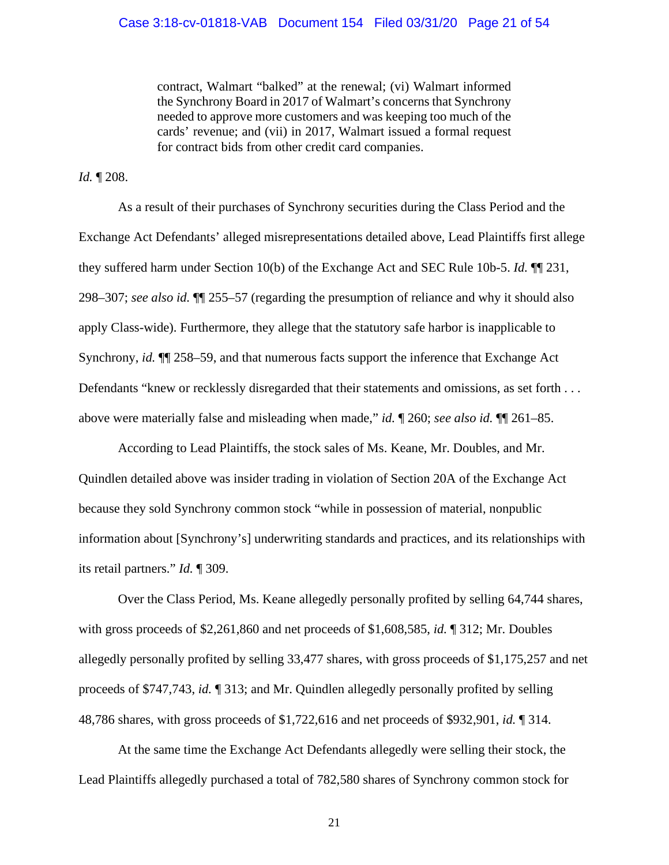contract, Walmart "balked" at the renewal; (vi) Walmart informed the Synchrony Board in 2017 of Walmart's concerns that Synchrony needed to approve more customers and was keeping too much of the cards' revenue; and (vii) in 2017, Walmart issued a formal request for contract bids from other credit card companies.

*Id.* ¶ 208.

As a result of their purchases of Synchrony securities during the Class Period and the Exchange Act Defendants' alleged misrepresentations detailed above, Lead Plaintiffs first allege they suffered harm under Section 10(b) of the Exchange Act and SEC Rule 10b-5. *Id.* ¶¶ 231, 298–307; *see also id.* ¶¶ 255–57 (regarding the presumption of reliance and why it should also apply Class-wide). Furthermore, they allege that the statutory safe harbor is inapplicable to Synchrony, *id.* ¶¶ 258–59, and that numerous facts support the inference that Exchange Act Defendants "knew or recklessly disregarded that their statements and omissions, as set forth . . . above were materially false and misleading when made," *id.* ¶ 260; *see also id.* ¶¶ 261–85.

According to Lead Plaintiffs, the stock sales of Ms. Keane, Mr. Doubles, and Mr. Quindlen detailed above was insider trading in violation of Section 20A of the Exchange Act because they sold Synchrony common stock "while in possession of material, nonpublic information about [Synchrony's] underwriting standards and practices, and its relationships with its retail partners." *Id.* ¶ 309.

Over the Class Period, Ms. Keane allegedly personally profited by selling 64,744 shares, with gross proceeds of \$2,261,860 and net proceeds of \$1,608,585, *id.* ¶ 312; Mr. Doubles allegedly personally profited by selling 33,477 shares, with gross proceeds of \$1,175,257 and net proceeds of \$747,743, *id.* ¶ 313; and Mr. Quindlen allegedly personally profited by selling 48,786 shares, with gross proceeds of \$1,722,616 and net proceeds of \$932,901, *id.* ¶ 314.

At the same time the Exchange Act Defendants allegedly were selling their stock, the Lead Plaintiffs allegedly purchased a total of 782,580 shares of Synchrony common stock for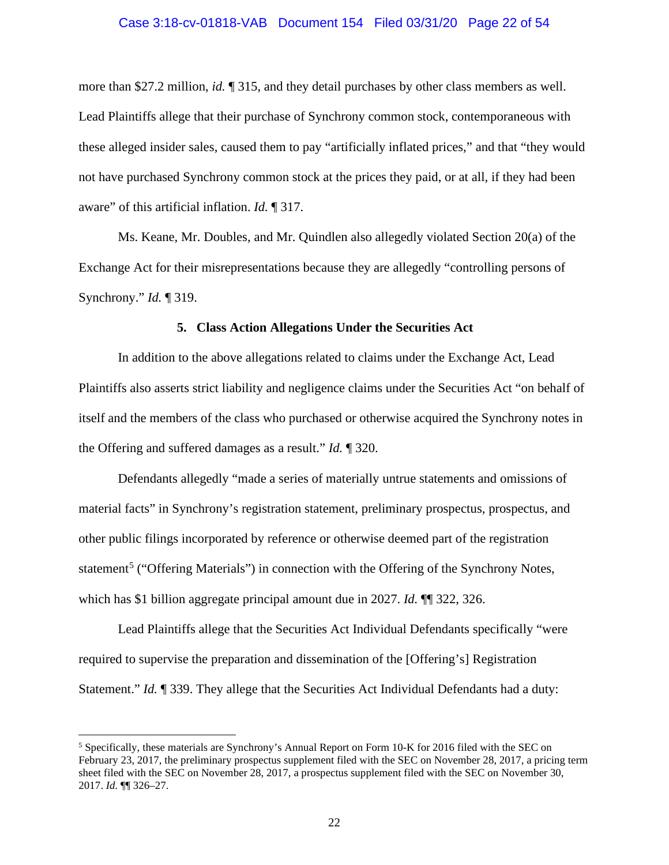#### Case 3:18-cv-01818-VAB Document 154 Filed 03/31/20 Page 22 of 54

more than \$27.2 million, *id.* ¶ 315, and they detail purchases by other class members as well. Lead Plaintiffs allege that their purchase of Synchrony common stock, contemporaneous with these alleged insider sales, caused them to pay "artificially inflated prices," and that "they would not have purchased Synchrony common stock at the prices they paid, or at all, if they had been aware" of this artificial inflation. *Id.* ¶ 317.

Ms. Keane, Mr. Doubles, and Mr. Quindlen also allegedly violated Section 20(a) of the Exchange Act for their misrepresentations because they are allegedly "controlling persons of Synchrony." *Id.* ¶ 319.

#### **5. Class Action Allegations Under the Securities Act**

In addition to the above allegations related to claims under the Exchange Act, Lead Plaintiffs also asserts strict liability and negligence claims under the Securities Act "on behalf of itself and the members of the class who purchased or otherwise acquired the Synchrony notes in the Offering and suffered damages as a result." *Id.* ¶ 320.

Defendants allegedly "made a series of materially untrue statements and omissions of material facts" in Synchrony's registration statement, preliminary prospectus, prospectus, and other public filings incorporated by reference or otherwise deemed part of the registration statement<sup>[5](#page-21-0)</sup> ("Offering Materials") in connection with the Offering of the Synchrony Notes, which has \$1 billion aggregate principal amount due in 2027. *Id.* ¶¶ 322, 326.

Lead Plaintiffs allege that the Securities Act Individual Defendants specifically "were required to supervise the preparation and dissemination of the [Offering's] Registration Statement." *Id.* ¶ 339. They allege that the Securities Act Individual Defendants had a duty:

<span id="page-21-0"></span><sup>5</sup> Specifically, these materials are Synchrony's Annual Report on Form 10-K for 2016 filed with the SEC on February 23, 2017, the preliminary prospectus supplement filed with the SEC on November 28, 2017, a pricing term sheet filed with the SEC on November 28, 2017, a prospectus supplement filed with the SEC on November 30, 2017. *Id.* ¶¶ 326–27.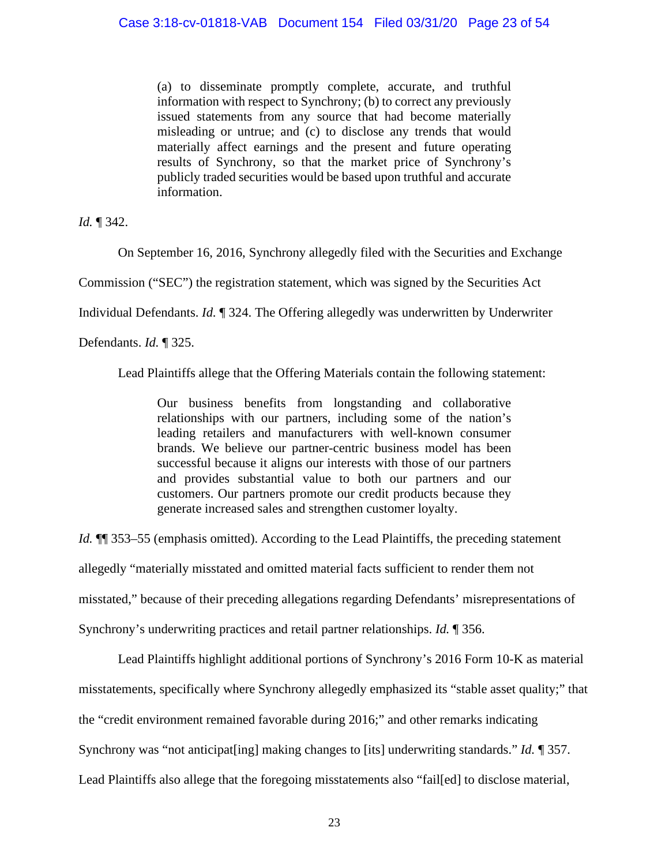(a) to disseminate promptly complete, accurate, and truthful information with respect to Synchrony; (b) to correct any previously issued statements from any source that had become materially misleading or untrue; and (c) to disclose any trends that would materially affect earnings and the present and future operating results of Synchrony, so that the market price of Synchrony's publicly traded securities would be based upon truthful and accurate information.

*Id.* ¶ 342.

On September 16, 2016, Synchrony allegedly filed with the Securities and Exchange

Commission ("SEC") the registration statement, which was signed by the Securities Act

Individual Defendants. *Id.* ¶ 324. The Offering allegedly was underwritten by Underwriter

Defendants. *Id.* ¶ 325.

Lead Plaintiffs allege that the Offering Materials contain the following statement:

Our business benefits from longstanding and collaborative relationships with our partners, including some of the nation's leading retailers and manufacturers with well-known consumer brands. We believe our partner-centric business model has been successful because it aligns our interests with those of our partners and provides substantial value to both our partners and our customers. Our partners promote our credit products because they generate increased sales and strengthen customer loyalty.

*Id.*  $\P$  353–55 (emphasis omitted). According to the Lead Plaintiffs, the preceding statement allegedly "materially misstated and omitted material facts sufficient to render them not misstated," because of their preceding allegations regarding Defendants' misrepresentations of Synchrony's underwriting practices and retail partner relationships. *Id.* ¶ 356.

Lead Plaintiffs highlight additional portions of Synchrony's 2016 Form 10-K as material misstatements, specifically where Synchrony allegedly emphasized its "stable asset quality;" that the "credit environment remained favorable during 2016;" and other remarks indicating Synchrony was "not anticipat[ing] making changes to [its] underwriting standards." *Id.* ¶ 357. Lead Plaintiffs also allege that the foregoing misstatements also "fail[ed] to disclose material,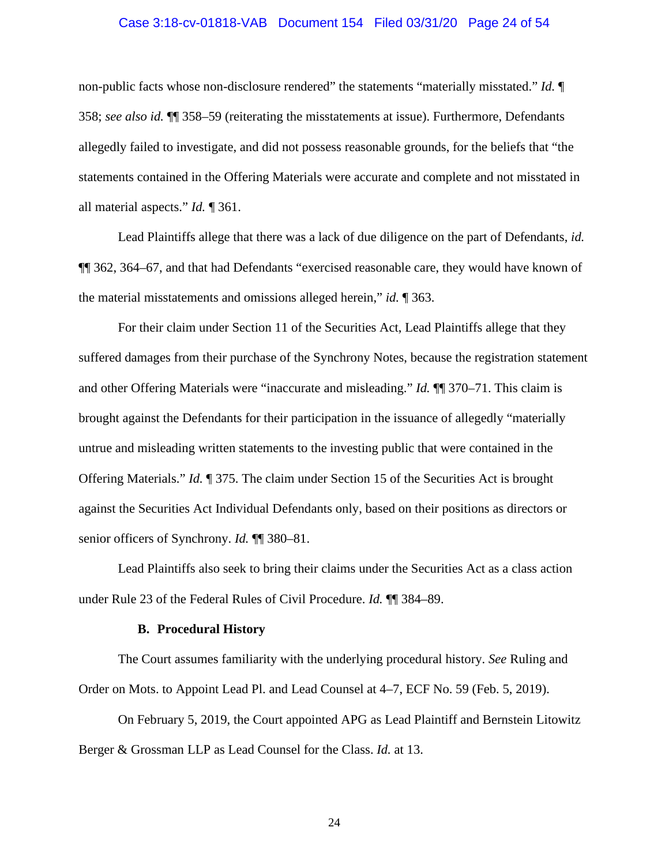#### Case 3:18-cv-01818-VAB Document 154 Filed 03/31/20 Page 24 of 54

non-public facts whose non-disclosure rendered" the statements "materially misstated." *Id.* ¶ 358; *see also id.* ¶¶ 358–59 (reiterating the misstatements at issue). Furthermore, Defendants allegedly failed to investigate, and did not possess reasonable grounds, for the beliefs that "the statements contained in the Offering Materials were accurate and complete and not misstated in all material aspects." *Id.* ¶ 361.

Lead Plaintiffs allege that there was a lack of due diligence on the part of Defendants, *id.*  ¶¶ 362, 364–67, and that had Defendants "exercised reasonable care, they would have known of the material misstatements and omissions alleged herein," *id.* ¶ 363.

For their claim under Section 11 of the Securities Act, Lead Plaintiffs allege that they suffered damages from their purchase of the Synchrony Notes, because the registration statement and other Offering Materials were "inaccurate and misleading." *Id.* ¶¶ 370–71. This claim is brought against the Defendants for their participation in the issuance of allegedly "materially untrue and misleading written statements to the investing public that were contained in the Offering Materials." *Id.* ¶ 375. The claim under Section 15 of the Securities Act is brought against the Securities Act Individual Defendants only, based on their positions as directors or senior officers of Synchrony. *Id.* ¶¶ 380–81.

Lead Plaintiffs also seek to bring their claims under the Securities Act as a class action under Rule 23 of the Federal Rules of Civil Procedure. *Id.* ¶¶ 384–89.

#### **B. Procedural History**

The Court assumes familiarity with the underlying procedural history. *See* Ruling and Order on Mots. to Appoint Lead Pl. and Lead Counsel at 4–7, ECF No. 59 (Feb. 5, 2019).

On February 5, 2019, the Court appointed APG as Lead Plaintiff and Bernstein Litowitz Berger & Grossman LLP as Lead Counsel for the Class. *Id.* at 13.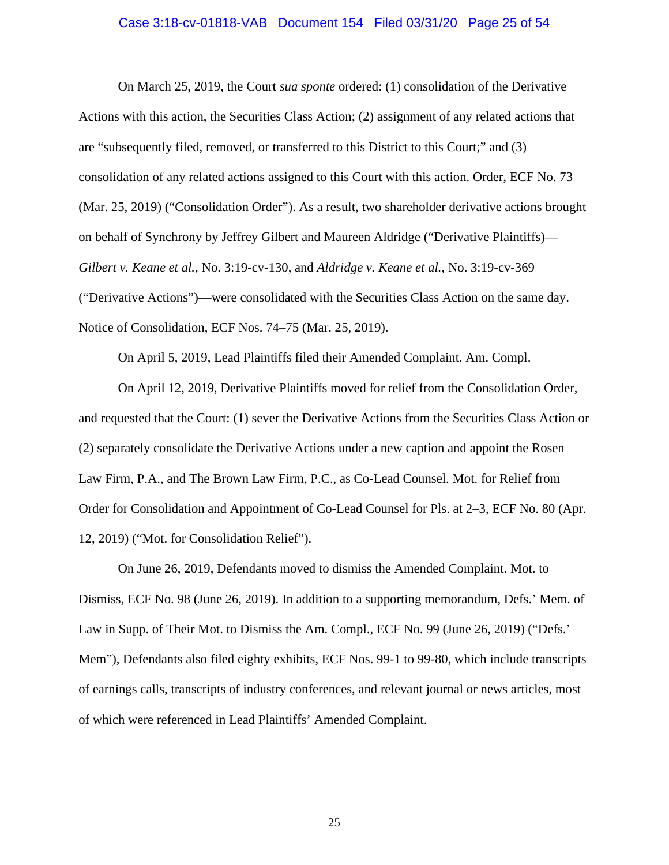## Case 3:18-cv-01818-VAB Document 154 Filed 03/31/20 Page 25 of 54

On March 25, 2019, the Court *sua sponte* ordered: (1) consolidation of the Derivative Actions with this action, the Securities Class Action; (2) assignment of any related actions that are "subsequently filed, removed, or transferred to this District to this Court;" and (3) consolidation of any related actions assigned to this Court with this action. Order, ECF No. 73 (Mar. 25, 2019) ("Consolidation Order"). As a result, two shareholder derivative actions brought on behalf of Synchrony by Jeffrey Gilbert and Maureen Aldridge ("Derivative Plaintiffs)— *Gilbert v. Keane et al.*, No. 3:19-cv-130, and *Aldridge v. Keane et al.*, No. 3:19-cv-369 ("Derivative Actions")—were consolidated with the Securities Class Action on the same day. Notice of Consolidation, ECF Nos. 74–75 (Mar. 25, 2019).

On April 5, 2019, Lead Plaintiffs filed their Amended Complaint. Am. Compl.

On April 12, 2019, Derivative Plaintiffs moved for relief from the Consolidation Order, and requested that the Court: (1) sever the Derivative Actions from the Securities Class Action or (2) separately consolidate the Derivative Actions under a new caption and appoint the Rosen Law Firm, P.A., and The Brown Law Firm, P.C., as Co-Lead Counsel. Mot. for Relief from Order for Consolidation and Appointment of Co-Lead Counsel for Pls. at 2–3, ECF No. 80 (Apr. 12, 2019) ("Mot. for Consolidation Relief").

On June 26, 2019, Defendants moved to dismiss the Amended Complaint. Mot. to Dismiss, ECF No. 98 (June 26, 2019). In addition to a supporting memorandum, Defs.' Mem. of Law in Supp. of Their Mot. to Dismiss the Am. Compl., ECF No. 99 (June 26, 2019) ("Defs.' Mem"), Defendants also filed eighty exhibits, ECF Nos. 99-1 to 99-80, which include transcripts of earnings calls, transcripts of industry conferences, and relevant journal or news articles, most of which were referenced in Lead Plaintiffs' Amended Complaint.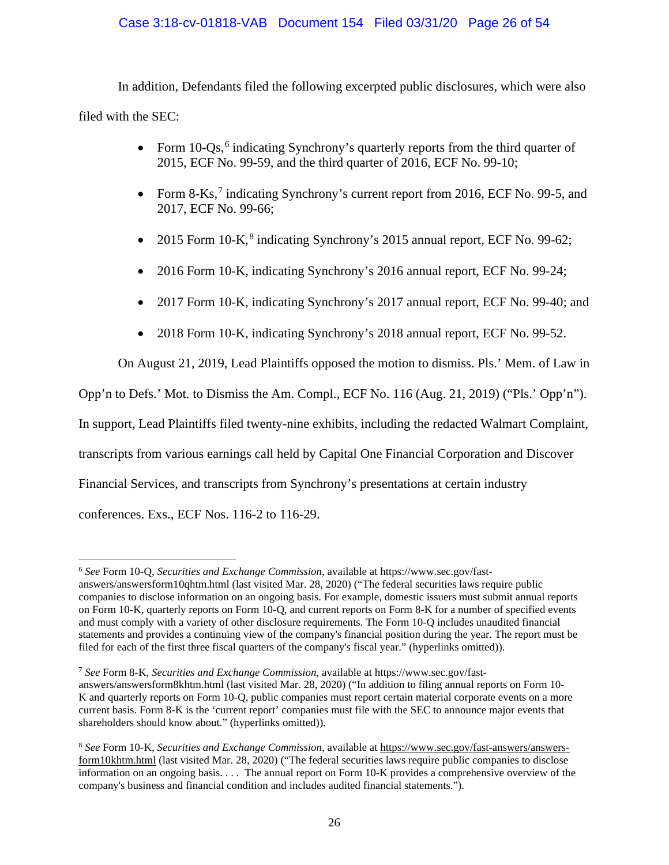## Case 3:18-cv-01818-VAB Document 154 Filed 03/31/20 Page 26 of 54

In addition, Defendants filed the following excerpted public disclosures, which were also filed with the SEC:

- Form 10-Qs,<sup>[6](#page-25-0)</sup> indicating Synchrony's quarterly reports from the third quarter of 2015, ECF No. 99-59, and the third quarter of 2016, ECF No. 99-10;
- Form 8-Ks,<sup>[7](#page-25-1)</sup> indicating Synchrony's current report from 2016, ECF No. 99-5, and 2017, ECF No. 99-66;
- 2015 Form 10-K,<sup>[8](#page-25-2)</sup> indicating Synchrony's 2015 annual report, ECF No. 99-62;
- 2016 Form 10-K, indicating Synchrony's 2016 annual report, ECF No. 99-24;
- 2017 Form 10-K, indicating Synchrony's 2017 annual report, ECF No. 99-40; and
- 2018 Form 10-K, indicating Synchrony's 2018 annual report, ECF No. 99-52.

On August 21, 2019, Lead Plaintiffs opposed the motion to dismiss. Pls.' Mem. of Law in Opp'n to Defs.' Mot. to Dismiss the Am. Compl., ECF No. 116 (Aug. 21, 2019) ("Pls.' Opp'n"). In support, Lead Plaintiffs filed twenty-nine exhibits, including the redacted Walmart Complaint, transcripts from various earnings call held by Capital One Financial Corporation and Discover Financial Services, and transcripts from Synchrony's presentations at certain industry

conferences. Exs., ECF Nos. 116-2 to 116-29.

<span id="page-25-0"></span><sup>6</sup> *See* Form 10-Q, *Securities and Exchange Commission*, available at https://www.sec.gov/fastanswers/answersform10qhtm.html (last visited Mar. 28, 2020) ("The federal securities laws require public companies to disclose information on an ongoing basis. For example, domestic issuers must submit annual reports on Form 10-K, quarterly reports on Form 10-Q, and current reports on Form 8-K for a number of specified events and must comply with a variety of other disclosure requirements. The Form 10-Q includes unaudited financial statements and provides a continuing view of the company's financial position during the year. The report must be filed for each of the first three fiscal quarters of the company's fiscal year." (hyperlinks omitted)).

<span id="page-25-1"></span><sup>7</sup> *See* Form 8-K, *Securities and Exchange Commission*, available at https://www.sec.gov/fastanswers/answersform8khtm.html (last visited Mar. 28, 2020) ("In addition to filing annual reports on Form 10- K and quarterly reports on Form 10-Q, public companies must report certain material corporate events on a more current basis. Form 8-K is the 'current report' companies must file with the SEC to announce major events that shareholders should know about." (hyperlinks omitted)).

<span id="page-25-2"></span><sup>8</sup> *See* Form 10-K, *Securities and Exchange Commission*, available at https://www.sec.gov/fast-answers/answersform10khtm.html (last visited Mar. 28, 2020) ("The federal securities laws require public companies to disclose information on an ongoing basis. . . . The annual report on Form 10-K provides a comprehensive overview of the company's business and financial condition and includes audited financial statements.").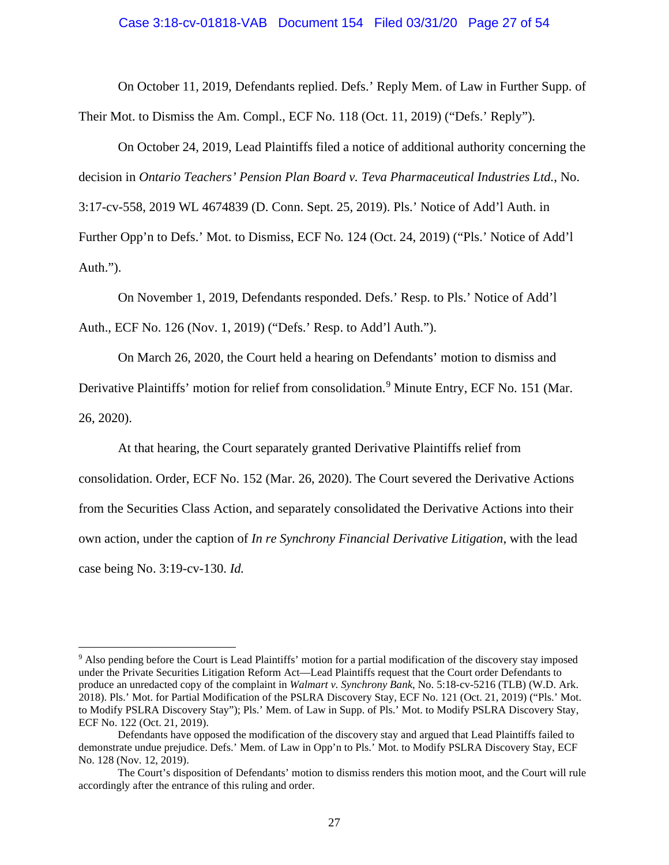#### Case 3:18-cv-01818-VAB Document 154 Filed 03/31/20 Page 27 of 54

On October 11, 2019, Defendants replied. Defs.' Reply Mem. of Law in Further Supp. of Their Mot. to Dismiss the Am. Compl., ECF No. 118 (Oct. 11, 2019) ("Defs.' Reply").

On October 24, 2019, Lead Plaintiffs filed a notice of additional authority concerning the decision in *Ontario Teachers' Pension Plan Board v. Teva Pharmaceutical Industries Ltd.*, No. 3:17-cv-558, 2019 WL 4674839 (D. Conn. Sept. 25, 2019). Pls.' Notice of Add'l Auth. in Further Opp'n to Defs.' Mot. to Dismiss, ECF No. 124 (Oct. 24, 2019) ("Pls.' Notice of Add'l

Auth.").

On November 1, 2019, Defendants responded. Defs.' Resp. to Pls.' Notice of Add'l Auth., ECF No. 126 (Nov. 1, 2019) ("Defs.' Resp. to Add'l Auth.").

On March 26, 2020, the Court held a hearing on Defendants' motion to dismiss and

Derivative Plaintiffs' motion for relief from consolidation.<sup>[9](#page-26-0)</sup> Minute Entry, ECF No. 151 (Mar. 26, 2020).

At that hearing, the Court separately granted Derivative Plaintiffs relief from

consolidation. Order, ECF No. 152 (Mar. 26, 2020). The Court severed the Derivative Actions from the Securities Class Action, and separately consolidated the Derivative Actions into their own action, under the caption of *In re Synchrony Financial Derivative Litigation*, with the lead case being No. 3:19-cv-130. *Id.*

<span id="page-26-0"></span><sup>9</sup> Also pending before the Court is Lead Plaintiffs' motion for a partial modification of the discovery stay imposed under the Private Securities Litigation Reform Act—Lead Plaintiffs request that the Court order Defendants to produce an unredacted copy of the complaint in *Walmart v. Synchrony Bank*, No. 5:18-cv-5216 (TLB) (W.D. Ark. 2018). Pls.' Mot. for Partial Modification of the PSLRA Discovery Stay, ECF No. 121 (Oct. 21, 2019) ("Pls.' Mot. to Modify PSLRA Discovery Stay"); Pls.' Mem. of Law in Supp. of Pls.' Mot. to Modify PSLRA Discovery Stay, ECF No. 122 (Oct. 21, 2019).

Defendants have opposed the modification of the discovery stay and argued that Lead Plaintiffs failed to demonstrate undue prejudice. Defs.' Mem. of Law in Opp'n to Pls.' Mot. to Modify PSLRA Discovery Stay, ECF No. 128 (Nov. 12, 2019).

The Court's disposition of Defendants' motion to dismiss renders this motion moot, and the Court will rule accordingly after the entrance of this ruling and order.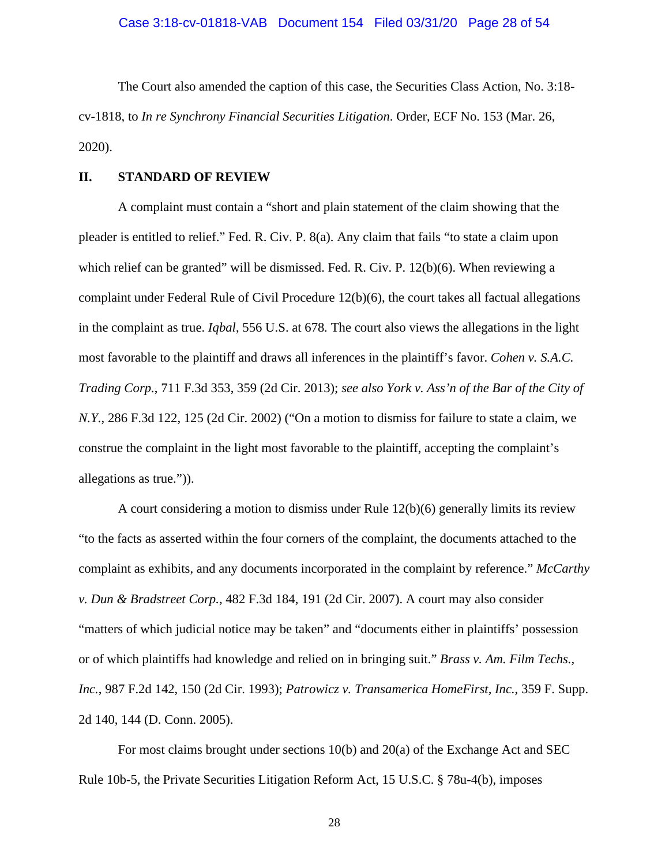The Court also amended the caption of this case, the Securities Class Action, No. 3:18 cv-1818, to *In re Synchrony Financial Securities Litigation*. Order, ECF No. 153 (Mar. 26, 2020).

#### **II. STANDARD OF REVIEW**

A complaint must contain a "short and plain statement of the claim showing that the pleader is entitled to relief." Fed. R. Civ. P. 8(a). Any claim that fails "to state a claim upon which relief can be granted" will be dismissed. Fed. R. Civ. P. 12(b)(6). When reviewing a complaint under Federal Rule of Civil Procedure 12(b)(6), the court takes all factual allegations in the complaint as true. *Iqbal*, 556 U.S. at 678*.* The court also views the allegations in the light most favorable to the plaintiff and draws all inferences in the plaintiff's favor. *Cohen v. S.A.C. Trading Corp.*, 711 F.3d 353, 359 (2d Cir. 2013); *see also York v. Ass'n of the Bar of the City of N.Y.*, 286 F.3d 122, 125 (2d Cir. 2002) ("On a motion to dismiss for failure to state a claim, we construe the complaint in the light most favorable to the plaintiff, accepting the complaint's allegations as true.")).

A court considering a motion to dismiss under Rule 12(b)(6) generally limits its review "to the facts as asserted within the four corners of the complaint, the documents attached to the complaint as exhibits, and any documents incorporated in the complaint by reference." *McCarthy v. Dun & Bradstreet Corp.*, 482 F.3d 184, 191 (2d Cir. 2007). A court may also consider "matters of which judicial notice may be taken" and "documents either in plaintiffs' possession or of which plaintiffs had knowledge and relied on in bringing suit." *Brass v. Am. Film Techs., Inc.*, 987 F.2d 142, 150 (2d Cir. 1993); *Patrowicz v. Transamerica HomeFirst, Inc.*, 359 F. Supp. 2d 140, 144 (D. Conn. 2005).

For most claims brought under sections 10(b) and 20(a) of the Exchange Act and SEC Rule 10b-5, the Private Securities Litigation Reform Act, 15 U.S.C. § 78u-4(b), imposes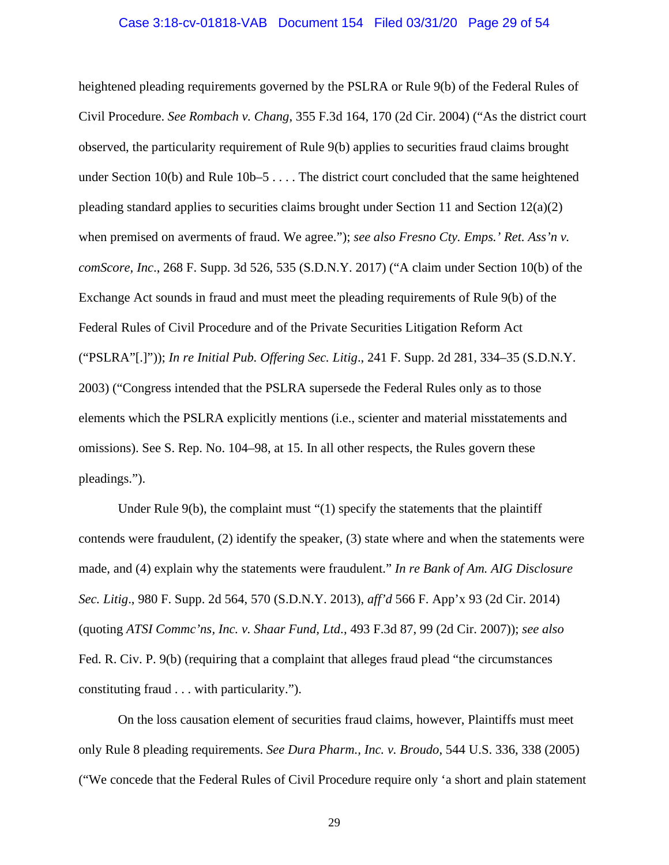#### Case 3:18-cv-01818-VAB Document 154 Filed 03/31/20 Page 29 of 54

heightened pleading requirements governed by the PSLRA or Rule 9(b) of the Federal Rules of Civil Procedure. *See Rombach v. Chang*, 355 F.3d 164, 170 (2d Cir. 2004) ("As the district court observed, the particularity requirement of Rule 9(b) applies to securities fraud claims brought under Section 10(b) and Rule 10b–5 . . . . The district court concluded that the same heightened pleading standard applies to securities claims brought under Section 11 and Section  $12(a)(2)$ when premised on averments of fraud. We agree."); *see also Fresno Cty. Emps.' Ret. Ass'n v. comScore, Inc*., 268 F. Supp. 3d 526, 535 (S.D.N.Y. 2017) ("A claim under Section 10(b) of the Exchange Act sounds in fraud and must meet the pleading requirements of Rule 9(b) of the Federal Rules of Civil Procedure and of the Private Securities Litigation Reform Act ("PSLRA"[.]")); *In re Initial Pub. Offering Sec. Litig*., 241 F. Supp. 2d 281, 334–35 (S.D.N.Y. 2003) ("Congress intended that the PSLRA supersede the Federal Rules only as to those elements which the PSLRA explicitly mentions (i.e., scienter and material misstatements and omissions). See S. Rep. No. 104–98, at 15. In all other respects, the Rules govern these pleadings.").

Under Rule 9(b), the complaint must "(1) specify the statements that the plaintiff contends were fraudulent, (2) identify the speaker, (3) state where and when the statements were made, and (4) explain why the statements were fraudulent." *In re Bank of Am. AIG Disclosure Sec. Litig*., 980 F. Supp. 2d 564, 570 (S.D.N.Y. 2013), *aff'd* 566 F. App'x 93 (2d Cir. 2014) (quoting *ATSI Commc'ns, Inc. v. Shaar Fund, Ltd*., 493 F.3d 87, 99 (2d Cir. 2007)); *see also*  Fed. R. Civ. P. 9(b) (requiring that a complaint that alleges fraud plead "the circumstances constituting fraud . . . with particularity.").

On the loss causation element of securities fraud claims, however, Plaintiffs must meet only Rule 8 pleading requirements. *See Dura Pharm., Inc. v. Broudo*, 544 U.S. 336, 338 (2005) ("We concede that the Federal Rules of Civil Procedure require only 'a short and plain statement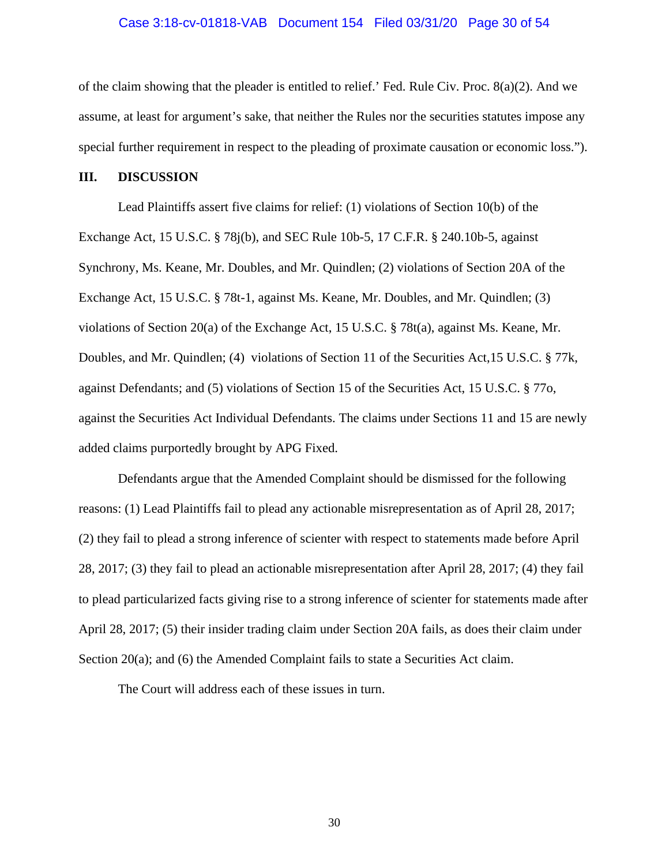#### Case 3:18-cv-01818-VAB Document 154 Filed 03/31/20 Page 30 of 54

of the claim showing that the pleader is entitled to relief.' Fed. Rule Civ. Proc. 8(a)(2). And we assume, at least for argument's sake, that neither the Rules nor the securities statutes impose any special further requirement in respect to the pleading of proximate causation or economic loss.").

#### **III. DISCUSSION**

Lead Plaintiffs assert five claims for relief: (1) violations of Section 10(b) of the Exchange Act, 15 U.S.C. § 78j(b), and SEC Rule 10b-5, 17 C.F.R. § 240.10b-5, against Synchrony, Ms. Keane, Mr. Doubles, and Mr. Quindlen; (2) violations of Section 20A of the Exchange Act, 15 U.S.C. § 78t-1, against Ms. Keane, Mr. Doubles, and Mr. Quindlen; (3) violations of Section 20(a) of the Exchange Act, 15 U.S.C. § 78t(a), against Ms. Keane, Mr. Doubles, and Mr. Quindlen; (4) violations of Section 11 of the Securities Act,15 U.S.C. § 77k, against Defendants; and (5) violations of Section 15 of the Securities Act, 15 U.S.C. § 77o, against the Securities Act Individual Defendants. The claims under Sections 11 and 15 are newly added claims purportedly brought by APG Fixed.

Defendants argue that the Amended Complaint should be dismissed for the following reasons: (1) Lead Plaintiffs fail to plead any actionable misrepresentation as of April 28, 2017; (2) they fail to plead a strong inference of scienter with respect to statements made before April 28, 2017; (3) they fail to plead an actionable misrepresentation after April 28, 2017; (4) they fail to plead particularized facts giving rise to a strong inference of scienter for statements made after April 28, 2017; (5) their insider trading claim under Section 20A fails, as does their claim under Section 20(a); and (6) the Amended Complaint fails to state a Securities Act claim.

The Court will address each of these issues in turn.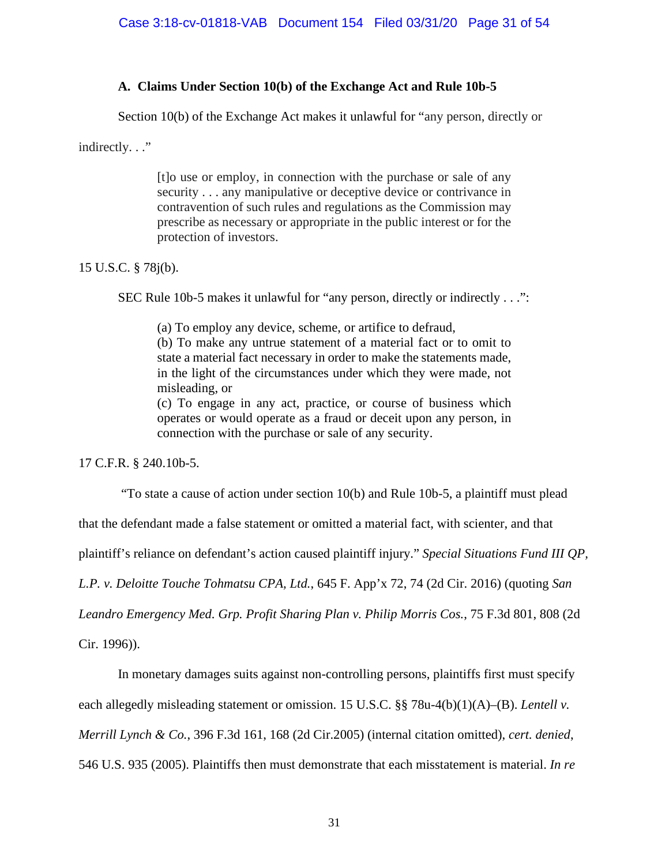## **A. Claims Under Section 10(b) of the Exchange Act and Rule 10b-5**

Section 10(b) of the Exchange Act makes it unlawful for "any person, directly or

indirectly. . ."

[t]o use or employ, in connection with the purchase or sale of any security . . . any manipulative or deceptive device or contrivance in contravention of such rules and regulations as the Commission may prescribe as necessary or appropriate in the public interest or for the protection of investors.

15 U.S.C. § 78j(b).

SEC Rule 10b-5 makes it unlawful for "any person, directly or indirectly . . .":

(a) To employ any device, scheme, or artifice to defraud,

(b) To make any untrue statement of a material fact or to omit to state a material fact necessary in order to make the statements made, in the light of the circumstances under which they were made, not misleading, or

(c) To engage in any act, practice, or course of business which operates or would operate as a fraud or deceit upon any person, in connection with the purchase or sale of any security.

17 C.F.R. § 240.10b-5.

"To state a cause of action under section 10(b) and Rule 10b-5, a plaintiff must plead

that the defendant made a false statement or omitted a material fact, with scienter, and that

plaintiff's reliance on defendant's action caused plaintiff injury." *Special Situations Fund III QP,* 

*L.P. v. Deloitte Touche Tohmatsu CPA, Ltd.*, 645 F. App'x 72, 74 (2d Cir. 2016) (quoting *San* 

*Leandro Emergency Med. Grp. Profit Sharing Plan v. Philip Morris Cos.*, 75 F.3d 801, 808 (2d

Cir. 1996)).

In monetary damages suits against non-controlling persons, plaintiffs first must specify

each allegedly misleading statement or omission. 15 U.S.C. §§ 78u-4(b)(1)(A)–(B). *Lentell v.* 

*Merrill Lynch & Co.*, 396 F.3d 161, 168 (2d Cir.2005) (internal citation omitted), *cert. denied*,

546 U.S. 935 (2005). Plaintiffs then must demonstrate that each misstatement is material. *In re*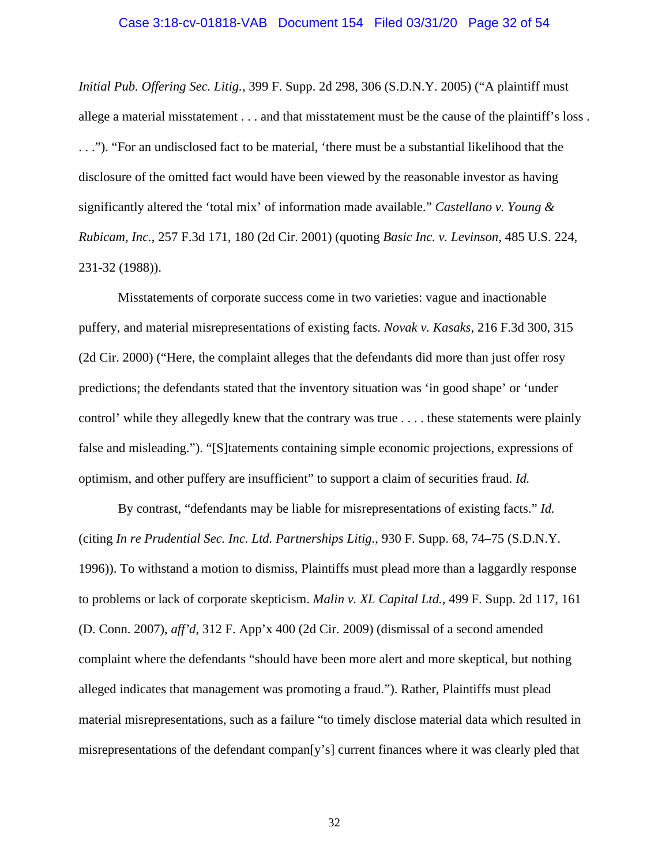#### Case 3:18-cv-01818-VAB Document 154 Filed 03/31/20 Page 32 of 54

*Initial Pub. Offering Sec. Litig.*, 399 F. Supp. 2d 298, 306 (S.D.N.Y. 2005) ("A plaintiff must allege a material misstatement . . . and that misstatement must be the cause of the plaintiff's loss . . . ."). "For an undisclosed fact to be material, 'there must be a substantial likelihood that the disclosure of the omitted fact would have been viewed by the reasonable investor as having significantly altered the 'total mix' of information made available." *Castellano v. Young & Rubicam, Inc.*, 257 F.3d 171, 180 (2d Cir. 2001) (quoting *Basic Inc. v. Levinson*, 485 U.S. 224, 231-32 (1988)).

Misstatements of corporate success come in two varieties: vague and inactionable puffery, and material misrepresentations of existing facts. *Novak v. Kasaks*, 216 F.3d 300, 315 (2d Cir. 2000) ("Here, the complaint alleges that the defendants did more than just offer rosy predictions; the defendants stated that the inventory situation was 'in good shape' or 'under control' while they allegedly knew that the contrary was true . . . . these statements were plainly false and misleading."). "[S]tatements containing simple economic projections, expressions of optimism, and other puffery are insufficient" to support a claim of securities fraud. *Id.*

By contrast, "defendants may be liable for misrepresentations of existing facts." *Id.* (citing *In re Prudential Sec. Inc. Ltd. Partnerships Litig.*, 930 F. Supp. 68, 74–75 (S.D.N.Y. 1996)). To withstand a motion to dismiss, Plaintiffs must plead more than a laggardly response to problems or lack of corporate skepticism. *Malin v. XL Capital Ltd.*, 499 F. Supp. 2d 117, 161 (D. Conn. 2007), *aff'd*, 312 F. App'x 400 (2d Cir. 2009) (dismissal of a second amended complaint where the defendants "should have been more alert and more skeptical, but nothing alleged indicates that management was promoting a fraud."). Rather, Plaintiffs must plead material misrepresentations, such as a failure "to timely disclose material data which resulted in misrepresentations of the defendant compan[y's] current finances where it was clearly pled that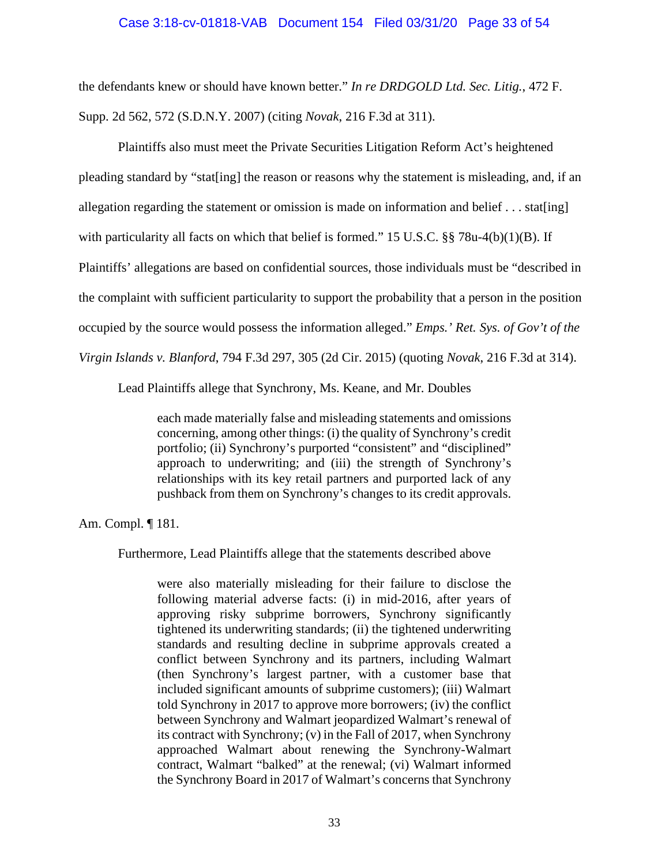### Case 3:18-cv-01818-VAB Document 154 Filed 03/31/20 Page 33 of 54

the defendants knew or should have known better." *In re DRDGOLD Ltd. Sec. Litig.*, 472 F. Supp. 2d 562, 572 (S.D.N.Y. 2007) (citing *Novak*, 216 F.3d at 311).

Plaintiffs also must meet the Private Securities Litigation Reform Act's heightened pleading standard by "stat[ing] the reason or reasons why the statement is misleading, and, if an allegation regarding the statement or omission is made on information and belief  $\dots$  stat[ing] with particularity all facts on which that belief is formed." 15 U.S.C.  $\S$  78u-4(b)(1)(B). If Plaintiffs' allegations are based on confidential sources, those individuals must be "described in the complaint with sufficient particularity to support the probability that a person in the position occupied by the source would possess the information alleged." *Emps.' Ret. Sys. of Gov't of the Virgin Islands v. Blanford*, 794 F.3d 297, 305 (2d Cir. 2015) (quoting *Novak*, 216 F.3d at 314).

Lead Plaintiffs allege that Synchrony, Ms. Keane, and Mr. Doubles

each made materially false and misleading statements and omissions concerning, among other things: (i) the quality of Synchrony's credit portfolio; (ii) Synchrony's purported "consistent" and "disciplined" approach to underwriting; and (iii) the strength of Synchrony's relationships with its key retail partners and purported lack of any pushback from them on Synchrony's changes to its credit approvals.

Am. Compl. ¶ 181.

Furthermore, Lead Plaintiffs allege that the statements described above

were also materially misleading for their failure to disclose the following material adverse facts: (i) in mid-2016, after years of approving risky subprime borrowers, Synchrony significantly tightened its underwriting standards; (ii) the tightened underwriting standards and resulting decline in subprime approvals created a conflict between Synchrony and its partners, including Walmart (then Synchrony's largest partner, with a customer base that included significant amounts of subprime customers); (iii) Walmart told Synchrony in 2017 to approve more borrowers; (iv) the conflict between Synchrony and Walmart jeopardized Walmart's renewal of its contract with Synchrony; (v) in the Fall of 2017, when Synchrony approached Walmart about renewing the Synchrony-Walmart contract, Walmart "balked" at the renewal; (vi) Walmart informed the Synchrony Board in 2017 of Walmart's concerns that Synchrony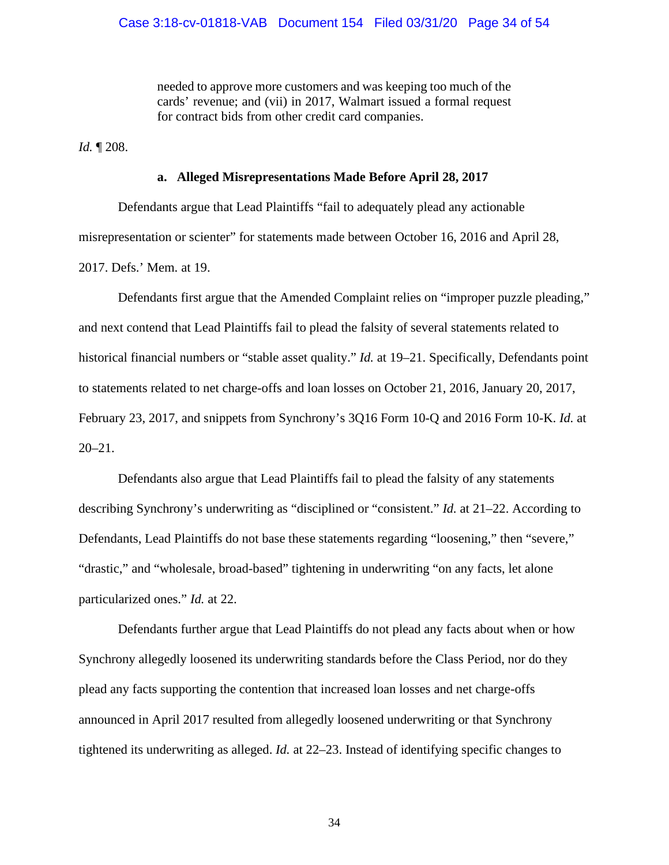needed to approve more customers and was keeping too much of the cards' revenue; and (vii) in 2017, Walmart issued a formal request for contract bids from other credit card companies.

*Id.* ¶ 208.

## **a. Alleged Misrepresentations Made Before April 28, 2017**

Defendants argue that Lead Plaintiffs "fail to adequately plead any actionable misrepresentation or scienter" for statements made between October 16, 2016 and April 28, 2017. Defs.' Mem. at 19.

Defendants first argue that the Amended Complaint relies on "improper puzzle pleading," and next contend that Lead Plaintiffs fail to plead the falsity of several statements related to historical financial numbers or "stable asset quality." *Id.* at 19–21. Specifically, Defendants point to statements related to net charge-offs and loan losses on October 21, 2016, January 20, 2017, February 23, 2017, and snippets from Synchrony's 3Q16 Form 10-Q and 2016 Form 10-K. *Id.* at 20–21.

Defendants also argue that Lead Plaintiffs fail to plead the falsity of any statements describing Synchrony's underwriting as "disciplined or "consistent." *Id.* at 21–22. According to Defendants, Lead Plaintiffs do not base these statements regarding "loosening," then "severe," "drastic," and "wholesale, broad-based" tightening in underwriting "on any facts, let alone particularized ones." *Id.* at 22.

Defendants further argue that Lead Plaintiffs do not plead any facts about when or how Synchrony allegedly loosened its underwriting standards before the Class Period, nor do they plead any facts supporting the contention that increased loan losses and net charge-offs announced in April 2017 resulted from allegedly loosened underwriting or that Synchrony tightened its underwriting as alleged. *Id.* at 22–23. Instead of identifying specific changes to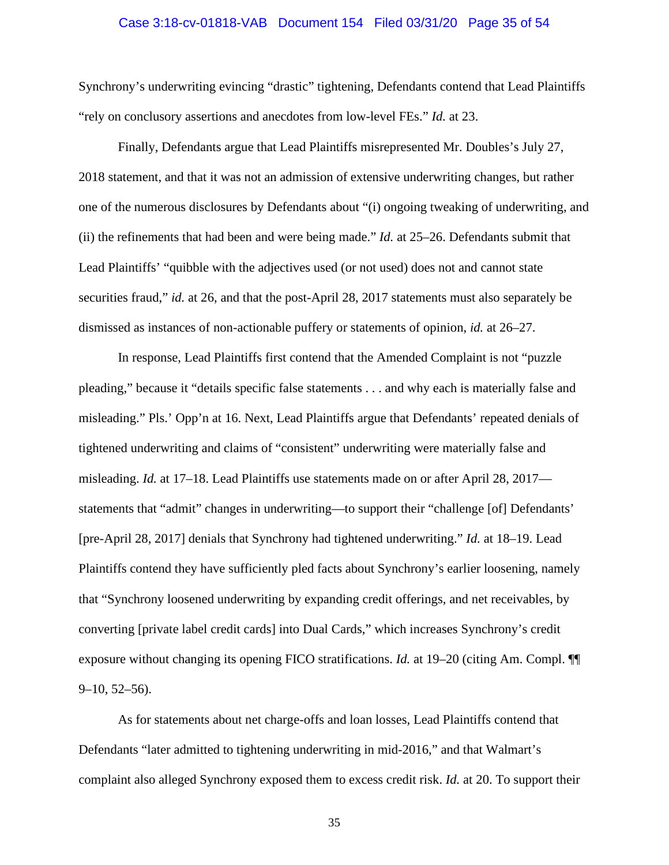#### Case 3:18-cv-01818-VAB Document 154 Filed 03/31/20 Page 35 of 54

Synchrony's underwriting evincing "drastic" tightening, Defendants contend that Lead Plaintiffs "rely on conclusory assertions and anecdotes from low-level FEs." *Id.* at 23.

Finally, Defendants argue that Lead Plaintiffs misrepresented Mr. Doubles's July 27, 2018 statement, and that it was not an admission of extensive underwriting changes, but rather one of the numerous disclosures by Defendants about "(i) ongoing tweaking of underwriting, and (ii) the refinements that had been and were being made." *Id.* at 25–26. Defendants submit that Lead Plaintiffs' "quibble with the adjectives used (or not used) does not and cannot state securities fraud," *id.* at 26, and that the post-April 28, 2017 statements must also separately be dismissed as instances of non-actionable puffery or statements of opinion, *id.* at 26–27.

In response, Lead Plaintiffs first contend that the Amended Complaint is not "puzzle pleading," because it "details specific false statements . . . and why each is materially false and misleading." Pls.' Opp'n at 16. Next, Lead Plaintiffs argue that Defendants' repeated denials of tightened underwriting and claims of "consistent" underwriting were materially false and misleading. *Id.* at 17–18. Lead Plaintiffs use statements made on or after April 28, 2017 statements that "admit" changes in underwriting—to support their "challenge [of] Defendants' [pre-April 28, 2017] denials that Synchrony had tightened underwriting." *Id.* at 18–19. Lead Plaintiffs contend they have sufficiently pled facts about Synchrony's earlier loosening, namely that "Synchrony loosened underwriting by expanding credit offerings, and net receivables, by converting [private label credit cards] into Dual Cards," which increases Synchrony's credit exposure without changing its opening FICO stratifications. *Id.* at 19–20 (citing Am. Compl. ¶¶  $9-10, 52-56$ ).

As for statements about net charge-offs and loan losses, Lead Plaintiffs contend that Defendants "later admitted to tightening underwriting in mid-2016," and that Walmart's complaint also alleged Synchrony exposed them to excess credit risk. *Id.* at 20. To support their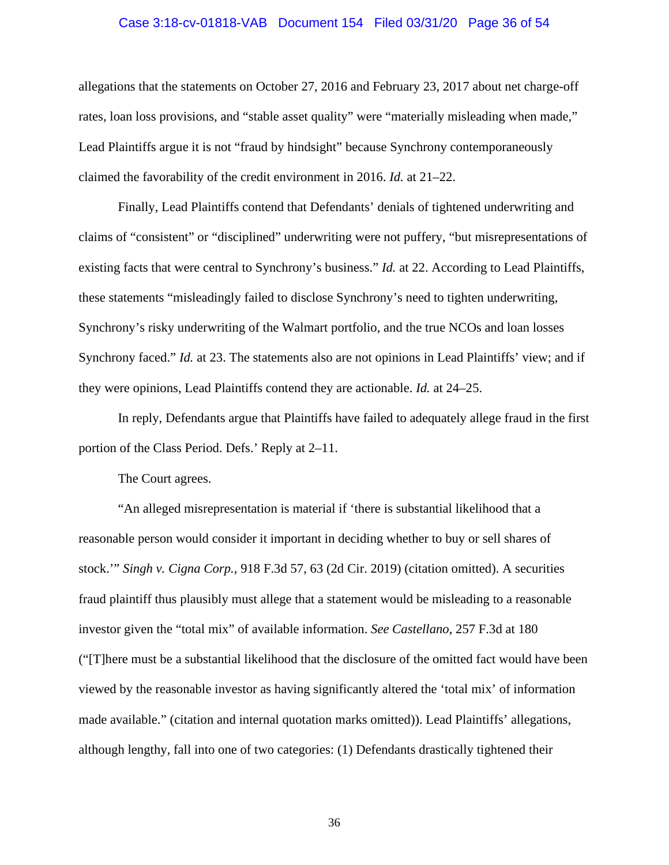#### Case 3:18-cv-01818-VAB Document 154 Filed 03/31/20 Page 36 of 54

allegations that the statements on October 27, 2016 and February 23, 2017 about net charge-off rates, loan loss provisions, and "stable asset quality" were "materially misleading when made," Lead Plaintiffs argue it is not "fraud by hindsight" because Synchrony contemporaneously claimed the favorability of the credit environment in 2016. *Id.* at 21–22.

Finally, Lead Plaintiffs contend that Defendants' denials of tightened underwriting and claims of "consistent" or "disciplined" underwriting were not puffery, "but misrepresentations of existing facts that were central to Synchrony's business." *Id.* at 22. According to Lead Plaintiffs, these statements "misleadingly failed to disclose Synchrony's need to tighten underwriting, Synchrony's risky underwriting of the Walmart portfolio, and the true NCOs and loan losses Synchrony faced." *Id.* at 23. The statements also are not opinions in Lead Plaintiffs' view; and if they were opinions, Lead Plaintiffs contend they are actionable. *Id.* at 24–25.

In reply, Defendants argue that Plaintiffs have failed to adequately allege fraud in the first portion of the Class Period. Defs.' Reply at 2–11.

The Court agrees.

"An alleged misrepresentation is material if 'there is substantial likelihood that a reasonable person would consider it important in deciding whether to buy or sell shares of stock.'" *Singh v. Cigna Corp.*, 918 F.3d 57, 63 (2d Cir. 2019) (citation omitted). A securities fraud plaintiff thus plausibly must allege that a statement would be misleading to a reasonable investor given the "total mix" of available information. *See Castellano*, 257 F.3d at 180 ("[T]here must be a substantial likelihood that the disclosure of the omitted fact would have been viewed by the reasonable investor as having significantly altered the 'total mix' of information made available." (citation and internal quotation marks omitted)). Lead Plaintiffs' allegations, although lengthy, fall into one of two categories: (1) Defendants drastically tightened their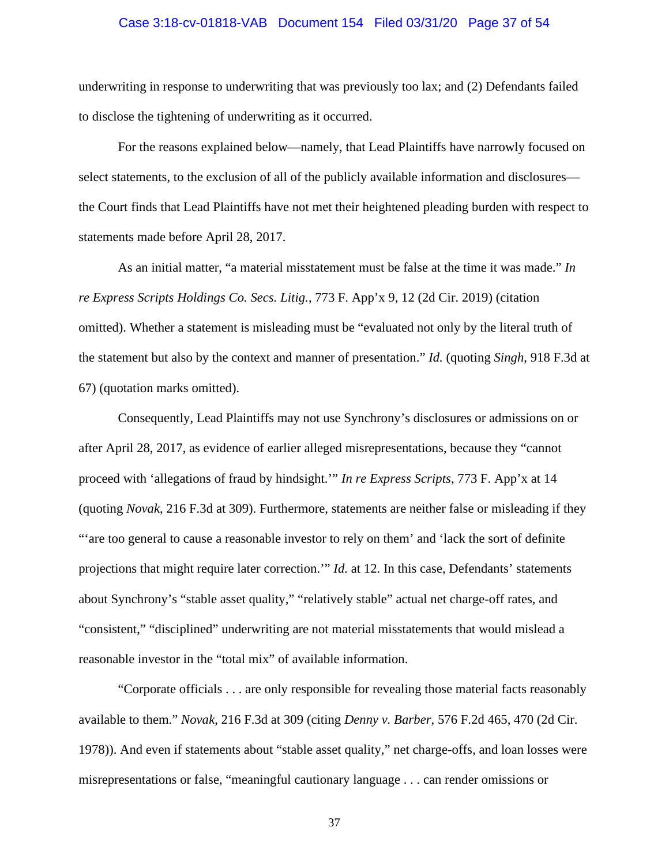#### Case 3:18-cv-01818-VAB Document 154 Filed 03/31/20 Page 37 of 54

underwriting in response to underwriting that was previously too lax; and (2) Defendants failed to disclose the tightening of underwriting as it occurred.

For the reasons explained below—namely, that Lead Plaintiffs have narrowly focused on select statements, to the exclusion of all of the publicly available information and disclosures the Court finds that Lead Plaintiffs have not met their heightened pleading burden with respect to statements made before April 28, 2017.

As an initial matter, "a material misstatement must be false at the time it was made." *In re Express Scripts Holdings Co. Secs. Litig.*, 773 F. App'x 9, 12 (2d Cir. 2019) (citation omitted). Whether a statement is misleading must be "evaluated not only by the literal truth of the statement but also by the context and manner of presentation." *Id.* (quoting *Singh*, 918 F.3d at 67) (quotation marks omitted).

Consequently, Lead Plaintiffs may not use Synchrony's disclosures or admissions on or after April 28, 2017, as evidence of earlier alleged misrepresentations, because they "cannot proceed with 'allegations of fraud by hindsight.'" *In re Express Scripts*, 773 F. App'x at 14 (quoting *Novak*, 216 F.3d at 309). Furthermore, statements are neither false or misleading if they "'are too general to cause a reasonable investor to rely on them' and 'lack the sort of definite projections that might require later correction.'" *Id.* at 12. In this case, Defendants' statements about Synchrony's "stable asset quality," "relatively stable" actual net charge-off rates, and "consistent," "disciplined" underwriting are not material misstatements that would mislead a reasonable investor in the "total mix" of available information.

"Corporate officials . . . are only responsible for revealing those material facts reasonably available to them." *Novak*, 216 F.3d at 309 (citing *Denny v. Barber*, 576 F.2d 465, 470 (2d Cir. 1978)). And even if statements about "stable asset quality," net charge-offs, and loan losses were misrepresentations or false, "meaningful cautionary language . . . can render omissions or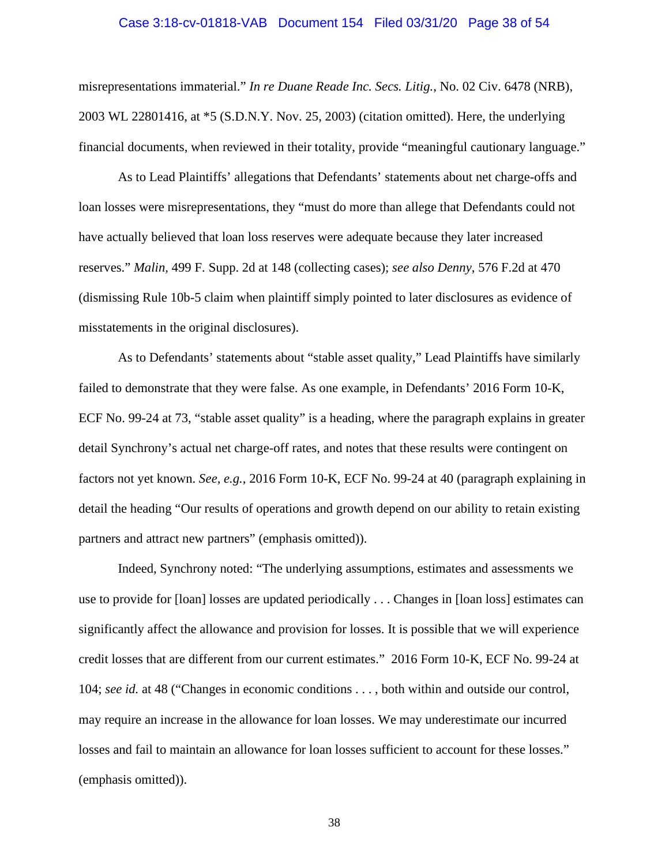#### Case 3:18-cv-01818-VAB Document 154 Filed 03/31/20 Page 38 of 54

misrepresentations immaterial." *In re Duane Reade Inc. Secs. Litig.*, No. 02 Civ. 6478 (NRB), 2003 WL 22801416, at \*5 (S.D.N.Y. Nov. 25, 2003) (citation omitted). Here, the underlying financial documents, when reviewed in their totality, provide "meaningful cautionary language."

As to Lead Plaintiffs' allegations that Defendants' statements about net charge-offs and loan losses were misrepresentations, they "must do more than allege that Defendants could not have actually believed that loan loss reserves were adequate because they later increased reserves." *Malin,* 499 F. Supp. 2d at 148 (collecting cases); *see also Denny*, 576 F.2d at 470 (dismissing Rule 10b-5 claim when plaintiff simply pointed to later disclosures as evidence of misstatements in the original disclosures).

As to Defendants' statements about "stable asset quality," Lead Plaintiffs have similarly failed to demonstrate that they were false. As one example, in Defendants' 2016 Form 10-K, ECF No. 99-24 at 73, "stable asset quality" is a heading, where the paragraph explains in greater detail Synchrony's actual net charge-off rates, and notes that these results were contingent on factors not yet known. *See, e.g.*, 2016 Form 10-K, ECF No. 99-24 at 40 (paragraph explaining in detail the heading "Our results of operations and growth depend on our ability to retain existing partners and attract new partners" (emphasis omitted)).

Indeed, Synchrony noted: "The underlying assumptions, estimates and assessments we use to provide for [loan] losses are updated periodically . . . Changes in [loan loss] estimates can significantly affect the allowance and provision for losses. It is possible that we will experience credit losses that are different from our current estimates." 2016 Form 10-K, ECF No. 99-24 at 104; *see id.* at 48 ("Changes in economic conditions . . . , both within and outside our control, may require an increase in the allowance for loan losses. We may underestimate our incurred losses and fail to maintain an allowance for loan losses sufficient to account for these losses." (emphasis omitted)).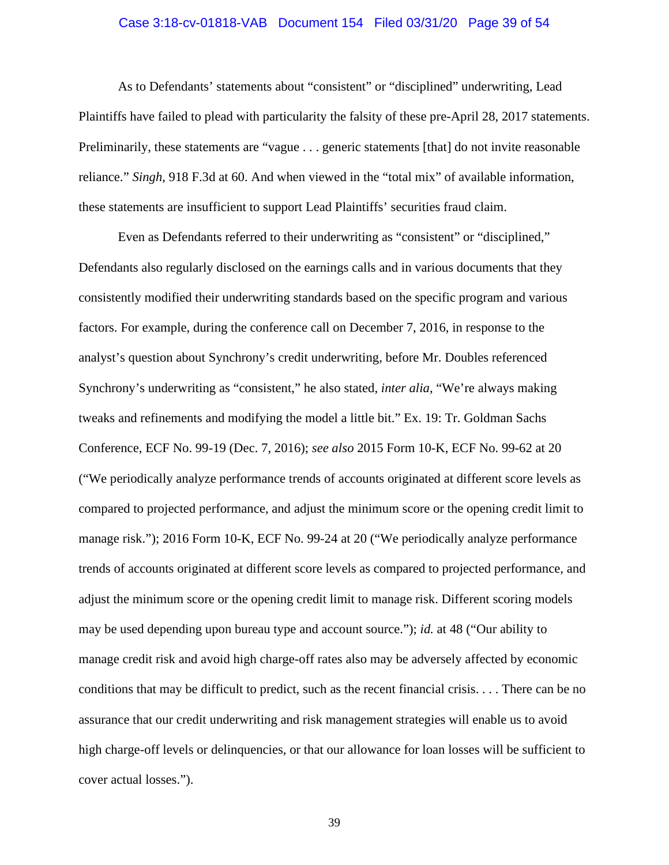#### Case 3:18-cv-01818-VAB Document 154 Filed 03/31/20 Page 39 of 54

As to Defendants' statements about "consistent" or "disciplined" underwriting, Lead Plaintiffs have failed to plead with particularity the falsity of these pre-April 28, 2017 statements. Preliminarily, these statements are "vague . . . generic statements [that] do not invite reasonable reliance." *Singh*, 918 F.3d at 60. And when viewed in the "total mix" of available information, these statements are insufficient to support Lead Plaintiffs' securities fraud claim.

Even as Defendants referred to their underwriting as "consistent" or "disciplined," Defendants also regularly disclosed on the earnings calls and in various documents that they consistently modified their underwriting standards based on the specific program and various factors. For example, during the conference call on December 7, 2016, in response to the analyst's question about Synchrony's credit underwriting, before Mr. Doubles referenced Synchrony's underwriting as "consistent," he also stated, *inter alia*, "We're always making tweaks and refinements and modifying the model a little bit." Ex. 19: Tr. Goldman Sachs Conference, ECF No. 99-19 (Dec. 7, 2016); *see also* 2015 Form 10-K, ECF No. 99-62 at 20 ("We periodically analyze performance trends of accounts originated at different score levels as compared to projected performance, and adjust the minimum score or the opening credit limit to manage risk."); 2016 Form 10-K, ECF No. 99-24 at 20 ("We periodically analyze performance trends of accounts originated at different score levels as compared to projected performance, and adjust the minimum score or the opening credit limit to manage risk. Different scoring models may be used depending upon bureau type and account source."); *id.* at 48 ("Our ability to manage credit risk and avoid high charge-off rates also may be adversely affected by economic conditions that may be difficult to predict, such as the recent financial crisis. . . . There can be no assurance that our credit underwriting and risk management strategies will enable us to avoid high charge-off levels or delinquencies, or that our allowance for loan losses will be sufficient to cover actual losses.").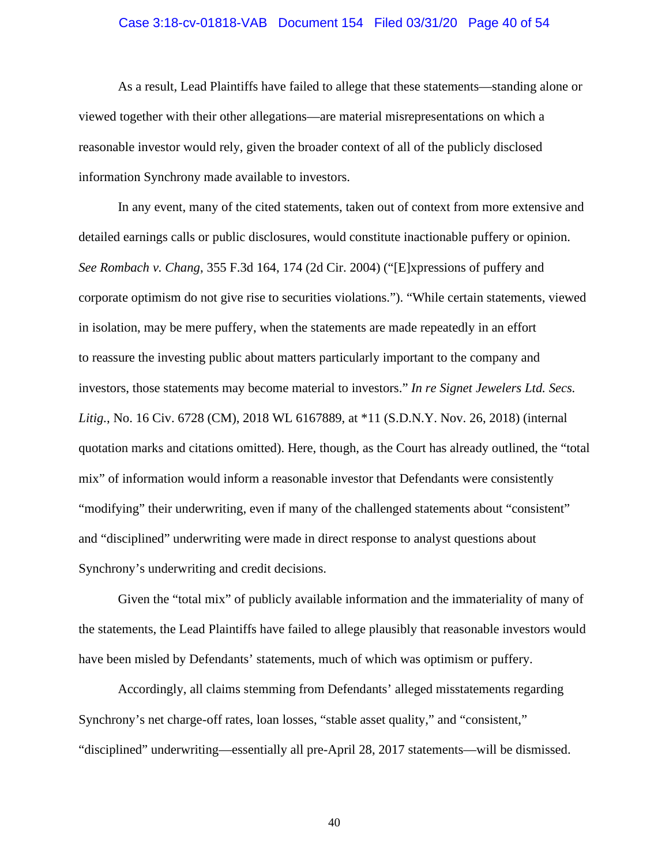#### Case 3:18-cv-01818-VAB Document 154 Filed 03/31/20 Page 40 of 54

As a result, Lead Plaintiffs have failed to allege that these statements—standing alone or viewed together with their other allegations—are material misrepresentations on which a reasonable investor would rely, given the broader context of all of the publicly disclosed information Synchrony made available to investors.

In any event, many of the cited statements, taken out of context from more extensive and detailed earnings calls or public disclosures, would constitute inactionable puffery or opinion. *See Rombach v. Chang*, 355 F.3d 164, 174 (2d Cir. 2004) ("[E]xpressions of puffery and corporate optimism do not give rise to securities violations."). "While certain statements, viewed in isolation, may be mere puffery, when the statements are made repeatedly in an effort to reassure the investing public about matters particularly important to the company and investors, those statements may become material to investors." *In re Signet Jewelers Ltd. Secs. Litig.*, No. 16 Civ. 6728 (CM), 2018 WL 6167889, at \*11 (S.D.N.Y. Nov. 26, 2018) (internal quotation marks and citations omitted). Here, though, as the Court has already outlined, the "total mix" of information would inform a reasonable investor that Defendants were consistently "modifying" their underwriting, even if many of the challenged statements about "consistent" and "disciplined" underwriting were made in direct response to analyst questions about Synchrony's underwriting and credit decisions.

Given the "total mix" of publicly available information and the immateriality of many of the statements, the Lead Plaintiffs have failed to allege plausibly that reasonable investors would have been misled by Defendants' statements, much of which was optimism or puffery.

Accordingly, all claims stemming from Defendants' alleged misstatements regarding Synchrony's net charge-off rates, loan losses, "stable asset quality," and "consistent," "disciplined" underwriting—essentially all pre-April 28, 2017 statements—will be dismissed.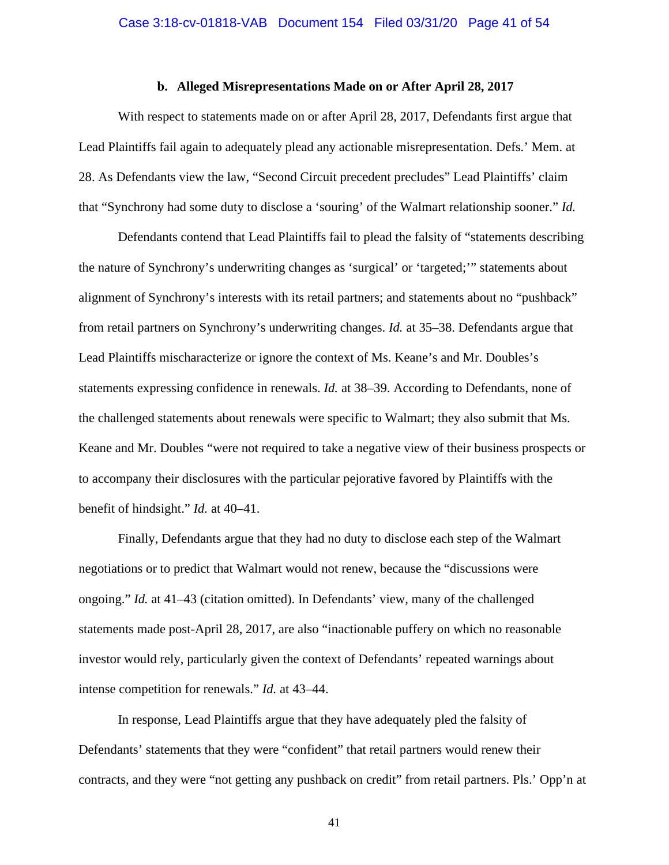#### **b. Alleged Misrepresentations Made on or After April 28, 2017**

With respect to statements made on or after April 28, 2017, Defendants first argue that Lead Plaintiffs fail again to adequately plead any actionable misrepresentation. Defs.' Mem. at 28. As Defendants view the law, "Second Circuit precedent precludes" Lead Plaintiffs' claim that "Synchrony had some duty to disclose a 'souring' of the Walmart relationship sooner." *Id.*

Defendants contend that Lead Plaintiffs fail to plead the falsity of "statements describing the nature of Synchrony's underwriting changes as 'surgical' or 'targeted;'" statements about alignment of Synchrony's interests with its retail partners; and statements about no "pushback" from retail partners on Synchrony's underwriting changes. *Id.* at 35–38. Defendants argue that Lead Plaintiffs mischaracterize or ignore the context of Ms. Keane's and Mr. Doubles's statements expressing confidence in renewals. *Id.* at 38–39. According to Defendants, none of the challenged statements about renewals were specific to Walmart; they also submit that Ms. Keane and Mr. Doubles "were not required to take a negative view of their business prospects or to accompany their disclosures with the particular pejorative favored by Plaintiffs with the benefit of hindsight." *Id.* at 40–41.

Finally, Defendants argue that they had no duty to disclose each step of the Walmart negotiations or to predict that Walmart would not renew, because the "discussions were ongoing." *Id.* at 41–43 (citation omitted). In Defendants' view, many of the challenged statements made post-April 28, 2017, are also "inactionable puffery on which no reasonable investor would rely, particularly given the context of Defendants' repeated warnings about intense competition for renewals." *Id.* at 43–44.

In response, Lead Plaintiffs argue that they have adequately pled the falsity of Defendants' statements that they were "confident" that retail partners would renew their contracts, and they were "not getting any pushback on credit" from retail partners. Pls.' Opp'n at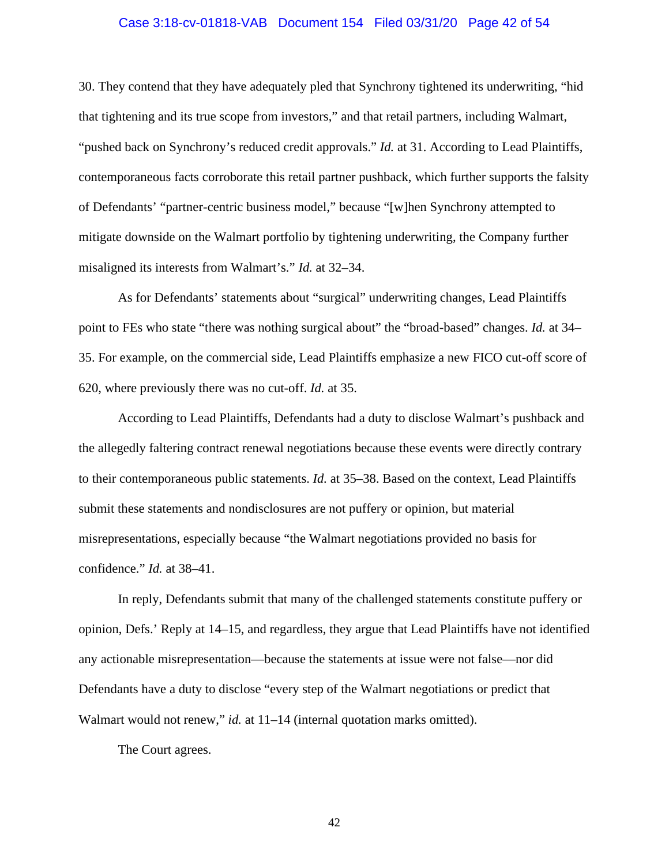#### Case 3:18-cv-01818-VAB Document 154 Filed 03/31/20 Page 42 of 54

30. They contend that they have adequately pled that Synchrony tightened its underwriting, "hid that tightening and its true scope from investors," and that retail partners, including Walmart, "pushed back on Synchrony's reduced credit approvals." *Id.* at 31. According to Lead Plaintiffs, contemporaneous facts corroborate this retail partner pushback, which further supports the falsity of Defendants' "partner-centric business model," because "[w]hen Synchrony attempted to mitigate downside on the Walmart portfolio by tightening underwriting, the Company further misaligned its interests from Walmart's." *Id.* at 32–34.

As for Defendants' statements about "surgical" underwriting changes, Lead Plaintiffs point to FEs who state "there was nothing surgical about" the "broad-based" changes. *Id.* at 34– 35. For example, on the commercial side, Lead Plaintiffs emphasize a new FICO cut-off score of 620, where previously there was no cut-off. *Id.* at 35.

According to Lead Plaintiffs, Defendants had a duty to disclose Walmart's pushback and the allegedly faltering contract renewal negotiations because these events were directly contrary to their contemporaneous public statements. *Id.* at 35–38. Based on the context, Lead Plaintiffs submit these statements and nondisclosures are not puffery or opinion, but material misrepresentations, especially because "the Walmart negotiations provided no basis for confidence." *Id.* at 38–41.

In reply, Defendants submit that many of the challenged statements constitute puffery or opinion, Defs.' Reply at 14–15, and regardless, they argue that Lead Plaintiffs have not identified any actionable misrepresentation—because the statements at issue were not false—nor did Defendants have a duty to disclose "every step of the Walmart negotiations or predict that Walmart would not renew," *id.* at 11–14 (internal quotation marks omitted).

The Court agrees.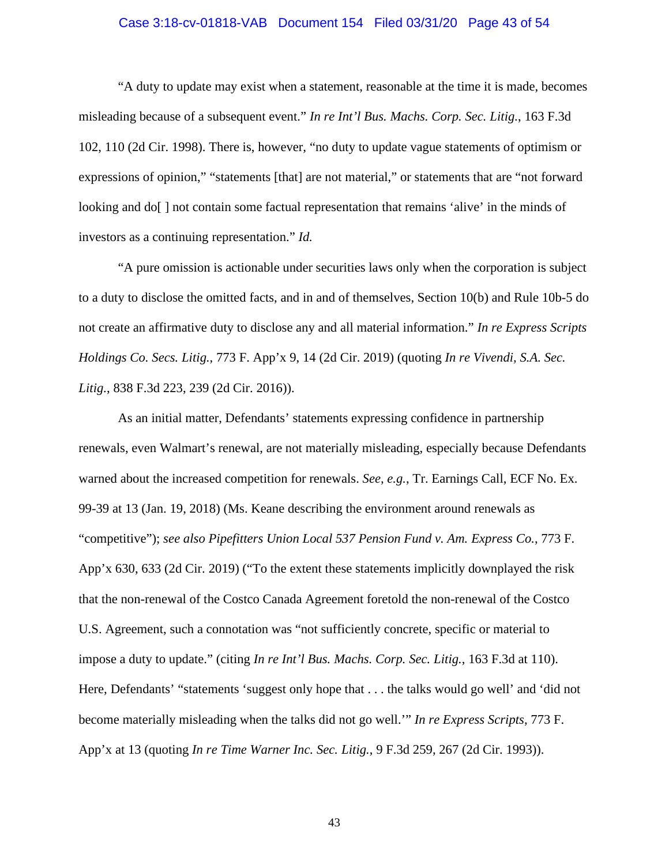#### Case 3:18-cv-01818-VAB Document 154 Filed 03/31/20 Page 43 of 54

"A duty to update may exist when a statement, reasonable at the time it is made, becomes misleading because of a subsequent event." *In re Int'l Bus. Machs. Corp. Sec. Litig.*, 163 F.3d 102, 110 (2d Cir. 1998). There is, however, "no duty to update vague statements of optimism or expressions of opinion," "statements [that] are not material," or statements that are "not forward looking and do[] not contain some factual representation that remains 'alive' in the minds of investors as a continuing representation." *Id.*

"A pure omission is actionable under securities laws only when the corporation is subject to a duty to disclose the omitted facts, and in and of themselves, Section 10(b) and Rule 10b-5 do not create an affirmative duty to disclose any and all material information." *In re Express Scripts Holdings Co. Secs. Litig.*, 773 F. App'x 9, 14 (2d Cir. 2019) (quoting *In re Vivendi, S.A. Sec. Litig.*, 838 F.3d 223, 239 (2d Cir. 2016)).

As an initial matter, Defendants' statements expressing confidence in partnership renewals, even Walmart's renewal, are not materially misleading, especially because Defendants warned about the increased competition for renewals. *See, e.g.*, Tr. Earnings Call, ECF No. Ex. 99-39 at 13 (Jan. 19, 2018) (Ms. Keane describing the environment around renewals as "competitive"); *see also Pipefitters Union Local 537 Pension Fund v. Am. Express Co.*, 773 F. App'x 630, 633 (2d Cir. 2019) ("To the extent these statements implicitly downplayed the risk that the non-renewal of the Costco Canada Agreement foretold the non-renewal of the Costco U.S. Agreement, such a connotation was "not sufficiently concrete, specific or material to impose a duty to update." (citing *In re Int'l Bus. Machs. Corp. Sec. Litig.*, 163 F.3d at 110). Here, Defendants' "statements 'suggest only hope that . . . the talks would go well' and 'did not become materially misleading when the talks did not go well.'" *In re Express Scripts*, 773 F. App'x at 13 (quoting *In re Time Warner Inc. Sec. Litig.*, 9 F.3d 259, 267 (2d Cir. 1993)).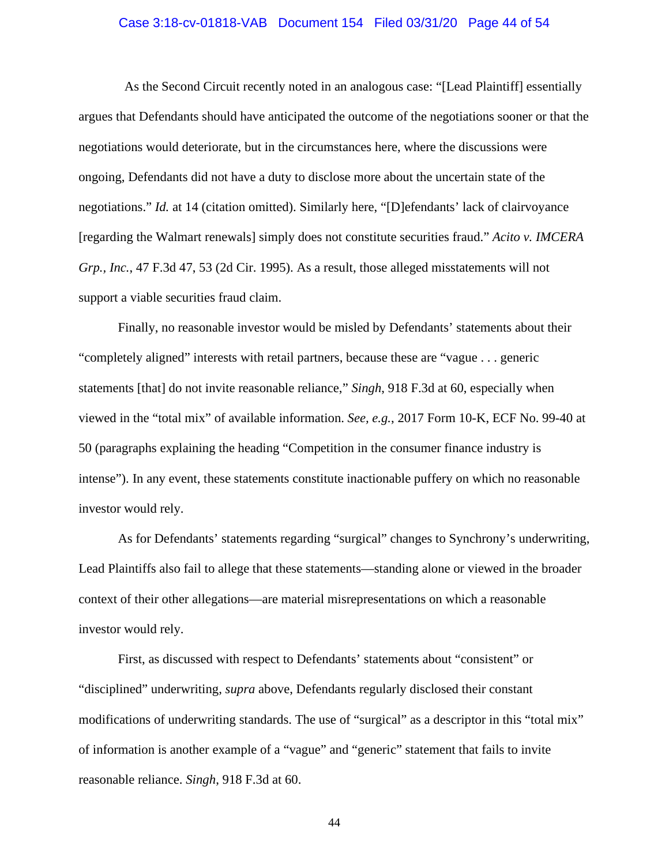#### Case 3:18-cv-01818-VAB Document 154 Filed 03/31/20 Page 44 of 54

As the Second Circuit recently noted in an analogous case: "[Lead Plaintiff] essentially argues that Defendants should have anticipated the outcome of the negotiations sooner or that the negotiations would deteriorate, but in the circumstances here, where the discussions were ongoing, Defendants did not have a duty to disclose more about the uncertain state of the negotiations." *Id.* at 14 (citation omitted). Similarly here, "[D]efendants' lack of clairvoyance [regarding the Walmart renewals] simply does not constitute securities fraud." *Acito v. IMCERA Grp., Inc.*, 47 F.3d 47, 53 (2d Cir. 1995). As a result, those alleged misstatements will not support a viable securities fraud claim.

Finally, no reasonable investor would be misled by Defendants' statements about their "completely aligned" interests with retail partners, because these are "vague . . . generic statements [that] do not invite reasonable reliance," *Singh*, 918 F.3d at 60, especially when viewed in the "total mix" of available information. *See, e.g.*, 2017 Form 10-K, ECF No. 99-40 at 50 (paragraphs explaining the heading "Competition in the consumer finance industry is intense"). In any event, these statements constitute inactionable puffery on which no reasonable investor would rely.

As for Defendants' statements regarding "surgical" changes to Synchrony's underwriting, Lead Plaintiffs also fail to allege that these statements—standing alone or viewed in the broader context of their other allegations—are material misrepresentations on which a reasonable investor would rely.

First, as discussed with respect to Defendants' statements about "consistent" or "disciplined" underwriting, *supra* above, Defendants regularly disclosed their constant modifications of underwriting standards. The use of "surgical" as a descriptor in this "total mix" of information is another example of a "vague" and "generic" statement that fails to invite reasonable reliance. *Singh*, 918 F.3d at 60.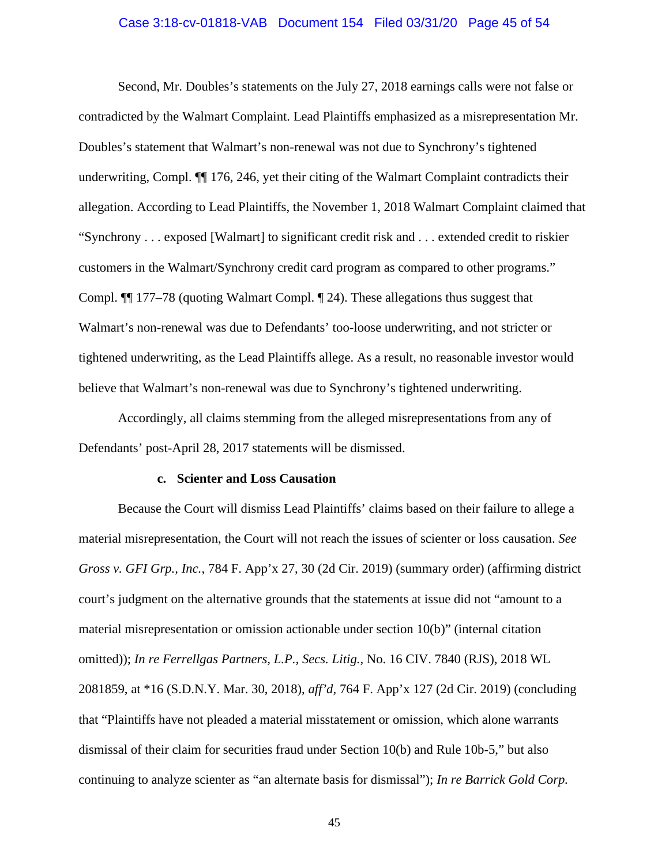#### Case 3:18-cv-01818-VAB Document 154 Filed 03/31/20 Page 45 of 54

Second, Mr. Doubles's statements on the July 27, 2018 earnings calls were not false or contradicted by the Walmart Complaint. Lead Plaintiffs emphasized as a misrepresentation Mr. Doubles's statement that Walmart's non-renewal was not due to Synchrony's tightened underwriting, Compl. ¶¶ 176, 246, yet their citing of the Walmart Complaint contradicts their allegation. According to Lead Plaintiffs, the November 1, 2018 Walmart Complaint claimed that "Synchrony . . . exposed [Walmart] to significant credit risk and . . . extended credit to riskier customers in the Walmart/Synchrony credit card program as compared to other programs." Compl. ¶¶ 177–78 (quoting Walmart Compl. ¶ 24). These allegations thus suggest that Walmart's non-renewal was due to Defendants' too-loose underwriting, and not stricter or tightened underwriting, as the Lead Plaintiffs allege. As a result, no reasonable investor would believe that Walmart's non-renewal was due to Synchrony's tightened underwriting.

Accordingly, all claims stemming from the alleged misrepresentations from any of Defendants' post-April 28, 2017 statements will be dismissed.

#### **c. Scienter and Loss Causation**

Because the Court will dismiss Lead Plaintiffs' claims based on their failure to allege a material misrepresentation, the Court will not reach the issues of scienter or loss causation. *See Gross v. GFI Grp., Inc.*, 784 F. App'x 27, 30 (2d Cir. 2019) (summary order) (affirming district court's judgment on the alternative grounds that the statements at issue did not "amount to a material misrepresentation or omission actionable under section 10(b)" (internal citation omitted)); *In re Ferrellgas Partners, L.P., Secs. Litig.*, No. 16 CIV. 7840 (RJS), 2018 WL 2081859, at \*16 (S.D.N.Y. Mar. 30, 2018), *aff'd*, 764 F. App'x 127 (2d Cir. 2019) (concluding that "Plaintiffs have not pleaded a material misstatement or omission, which alone warrants dismissal of their claim for securities fraud under Section 10(b) and Rule 10b-5," but also continuing to analyze scienter as "an alternate basis for dismissal"); *In re Barrick Gold Corp.*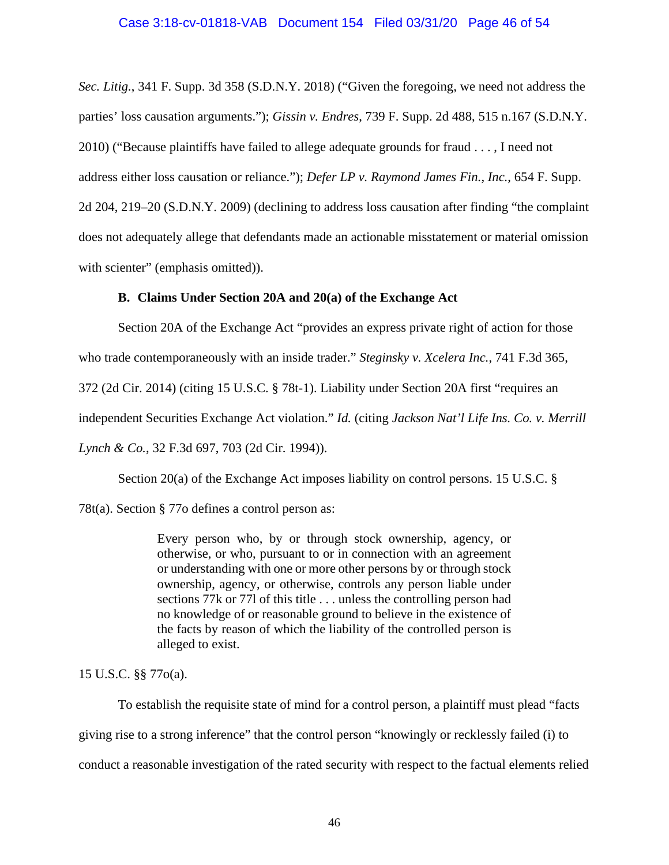## Case 3:18-cv-01818-VAB Document 154 Filed 03/31/20 Page 46 of 54

*Sec. Litig.*, 341 F. Supp. 3d 358 (S.D.N.Y. 2018) ("Given the foregoing, we need not address the parties' loss causation arguments."); *Gissin v. Endres*, 739 F. Supp. 2d 488, 515 n.167 (S.D.N.Y. 2010) ("Because plaintiffs have failed to allege adequate grounds for fraud . . . , I need not address either loss causation or reliance."); *Defer LP v. Raymond James Fin., Inc.*, 654 F. Supp. 2d 204, 219–20 (S.D.N.Y. 2009) (declining to address loss causation after finding "the complaint does not adequately allege that defendants made an actionable misstatement or material omission with scienter" (emphasis omitted)).

## **B. Claims Under Section 20A and 20(a) of the Exchange Act**

Section 20A of the Exchange Act "provides an express private right of action for those who trade contemporaneously with an inside trader." *Steginsky v. Xcelera Inc.*, 741 F.3d 365, 372 (2d Cir. 2014) (citing 15 U.S.C. § 78t-1). Liability under Section 20A first "requires an independent Securities Exchange Act violation." *Id.* (citing *Jackson Nat'l Life Ins. Co. v. Merrill Lynch & Co.*, 32 F.3d 697, 703 (2d Cir. 1994)).

Section 20(a) of the Exchange Act imposes liability on control persons. 15 U.S.C. §

78t(a). Section § 77o defines a control person as:

Every person who, by or through stock ownership, agency, or otherwise, or who, pursuant to or in connection with an agreement or understanding with one or more other persons by or through stock ownership, agency, or otherwise, controls any person liable under sections 77k or 77l of this title . . . unless the controlling person had no knowledge of or reasonable ground to believe in the existence of the facts by reason of which the liability of the controlled person is alleged to exist.

15 U.S.C. §§ 77o(a).

To establish the requisite state of mind for a control person, a plaintiff must plead "facts giving rise to a strong inference" that the control person "knowingly or recklessly failed (i) to conduct a reasonable investigation of the rated security with respect to the factual elements relied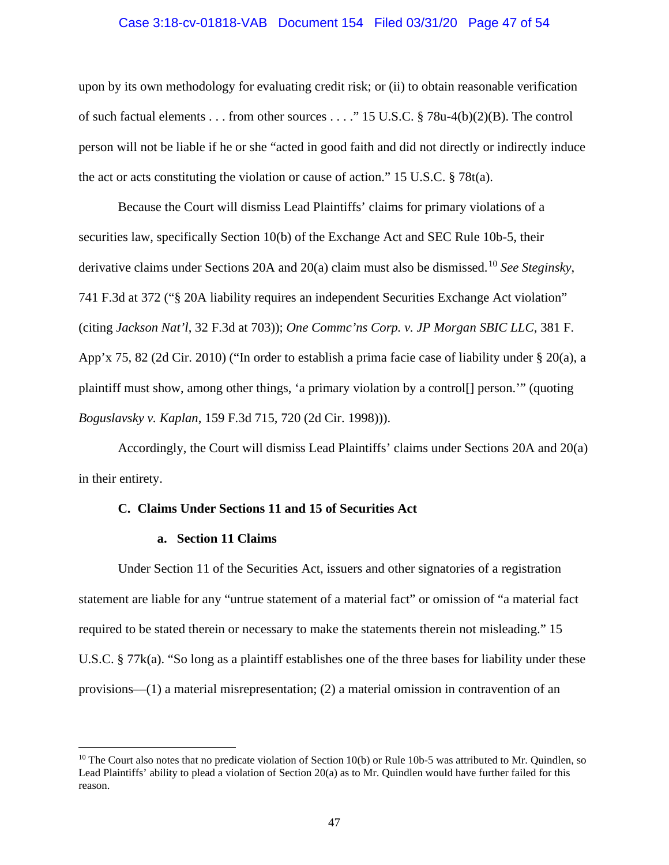#### Case 3:18-cv-01818-VAB Document 154 Filed 03/31/20 Page 47 of 54

upon by its own methodology for evaluating credit risk; or (ii) to obtain reasonable verification of such factual elements . . . from other sources . . . ." 15 U.S.C. § 78u-4(b)(2)(B). The control person will not be liable if he or she "acted in good faith and did not directly or indirectly induce the act or acts constituting the violation or cause of action." 15 U.S.C. § 78t(a).

Because the Court will dismiss Lead Plaintiffs' claims for primary violations of a securities law, specifically Section 10(b) of the Exchange Act and SEC Rule 10b-5, their derivative claims under Sections 20A and 20(a) claim must also be dismissed. [10](#page-46-0) *See Steginsky*, 741 F.3d at 372 ("§ 20A liability requires an independent Securities Exchange Act violation" (citing *Jackson Nat'l*, 32 F.3d at 703)); *One Commc'ns Corp. v. JP Morgan SBIC LLC*, 381 F. App'x 75, 82 (2d Cir. 2010) ("In order to establish a prima facie case of liability under § 20(a), a plaintiff must show, among other things, 'a primary violation by a control[] person.'" (quoting *Boguslavsky v. Kaplan*, 159 F.3d 715, 720 (2d Cir. 1998))).

Accordingly, the Court will dismiss Lead Plaintiffs' claims under Sections 20A and 20(a) in their entirety.

#### **C. Claims Under Sections 11 and 15 of Securities Act**

#### **a. Section 11 Claims**

Under Section 11 of the Securities Act, issuers and other signatories of a registration statement are liable for any "untrue statement of a material fact" or omission of "a material fact required to be stated therein or necessary to make the statements therein not misleading." 15 U.S.C. § 77k(a). "So long as a plaintiff establishes one of the three bases for liability under these provisions—(1) a material misrepresentation; (2) a material omission in contravention of an

<span id="page-46-0"></span> $10$  The Court also notes that no predicate violation of Section 10(b) or Rule 10b-5 was attributed to Mr. Quindlen, so Lead Plaintiffs' ability to plead a violation of Section 20(a) as to Mr. Quindlen would have further failed for this reason.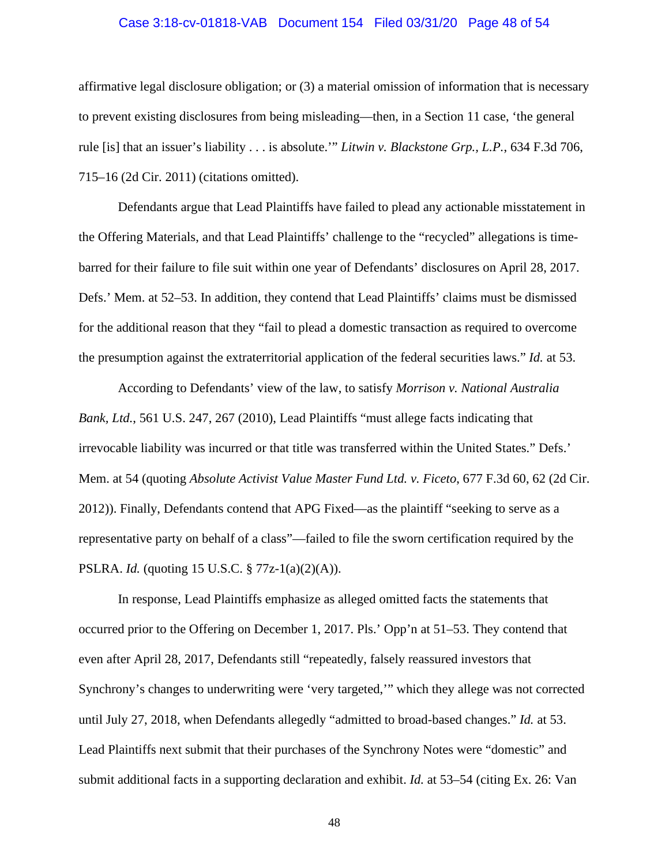#### Case 3:18-cv-01818-VAB Document 154 Filed 03/31/20 Page 48 of 54

affirmative legal disclosure obligation; or (3) a material omission of information that is necessary to prevent existing disclosures from being misleading—then, in a Section 11 case, 'the general rule [is] that an issuer's liability . . . is absolute.'" *Litwin v. Blackstone Grp., L.P.*, 634 F.3d 706, 715–16 (2d Cir. 2011) (citations omitted).

Defendants argue that Lead Plaintiffs have failed to plead any actionable misstatement in the Offering Materials, and that Lead Plaintiffs' challenge to the "recycled" allegations is timebarred for their failure to file suit within one year of Defendants' disclosures on April 28, 2017. Defs.' Mem. at 52–53. In addition, they contend that Lead Plaintiffs' claims must be dismissed for the additional reason that they "fail to plead a domestic transaction as required to overcome the presumption against the extraterritorial application of the federal securities laws." *Id.* at 53.

According to Defendants' view of the law, to satisfy *Morrison v. National Australia Bank, Ltd.*, 561 U.S. 247, 267 (2010), Lead Plaintiffs "must allege facts indicating that irrevocable liability was incurred or that title was transferred within the United States." Defs.' Mem. at 54 (quoting *Absolute Activist Value Master Fund Ltd. v. Ficeto*, 677 F.3d 60, 62 (2d Cir. 2012)). Finally, Defendants contend that APG Fixed—as the plaintiff "seeking to serve as a representative party on behalf of a class"—failed to file the sworn certification required by the PSLRA. *Id.* (quoting 15 U.S.C. § 77z-1(a)(2)(A)).

In response, Lead Plaintiffs emphasize as alleged omitted facts the statements that occurred prior to the Offering on December 1, 2017. Pls.' Opp'n at 51–53. They contend that even after April 28, 2017, Defendants still "repeatedly, falsely reassured investors that Synchrony's changes to underwriting were 'very targeted,'" which they allege was not corrected until July 27, 2018, when Defendants allegedly "admitted to broad-based changes." *Id.* at 53. Lead Plaintiffs next submit that their purchases of the Synchrony Notes were "domestic" and submit additional facts in a supporting declaration and exhibit. *Id.* at 53–54 (citing Ex. 26: Van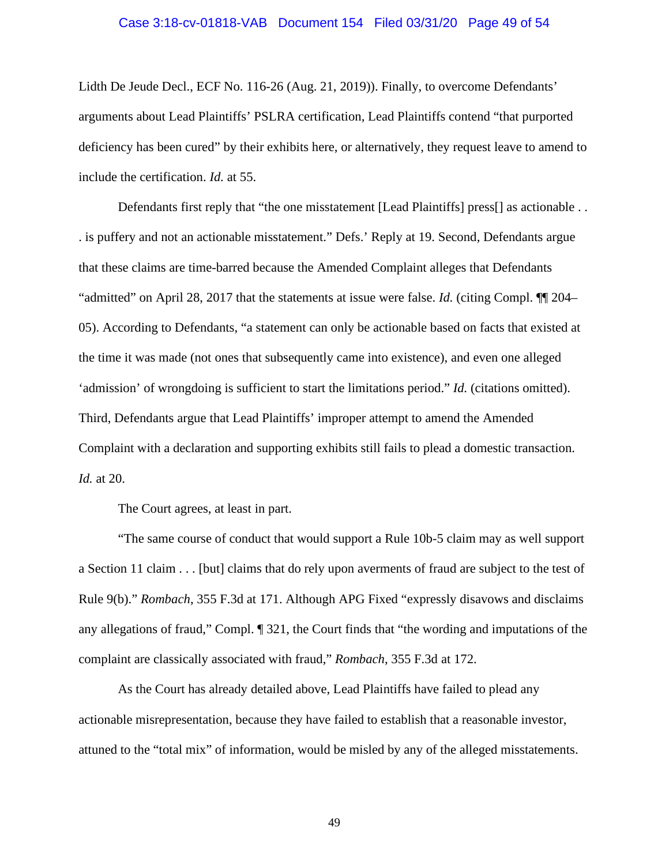#### Case 3:18-cv-01818-VAB Document 154 Filed 03/31/20 Page 49 of 54

Lidth De Jeude Decl., ECF No. 116-26 (Aug. 21, 2019)). Finally, to overcome Defendants' arguments about Lead Plaintiffs' PSLRA certification, Lead Plaintiffs contend "that purported deficiency has been cured" by their exhibits here, or alternatively, they request leave to amend to include the certification. *Id.* at 55.

Defendants first reply that "the one misstatement [Lead Plaintiffs] press[] as actionable . . . is puffery and not an actionable misstatement." Defs.' Reply at 19. Second, Defendants argue that these claims are time-barred because the Amended Complaint alleges that Defendants "admitted" on April 28, 2017 that the statements at issue were false. *Id.* (citing Compl. ¶¶ 204– 05). According to Defendants, "a statement can only be actionable based on facts that existed at the time it was made (not ones that subsequently came into existence), and even one alleged 'admission' of wrongdoing is sufficient to start the limitations period." *Id.* (citations omitted). Third, Defendants argue that Lead Plaintiffs' improper attempt to amend the Amended Complaint with a declaration and supporting exhibits still fails to plead a domestic transaction. *Id.* at 20.

The Court agrees, at least in part.

"The same course of conduct that would support a Rule 10b-5 claim may as well support a Section 11 claim . . . [but] claims that do rely upon averments of fraud are subject to the test of Rule 9(b)." *Rombach*, 355 F.3d at 171. Although APG Fixed "expressly disavows and disclaims any allegations of fraud," Compl. ¶ 321, the Court finds that "the wording and imputations of the complaint are classically associated with fraud," *Rombach*, 355 F.3d at 172.

As the Court has already detailed above, Lead Plaintiffs have failed to plead any actionable misrepresentation, because they have failed to establish that a reasonable investor, attuned to the "total mix" of information, would be misled by any of the alleged misstatements.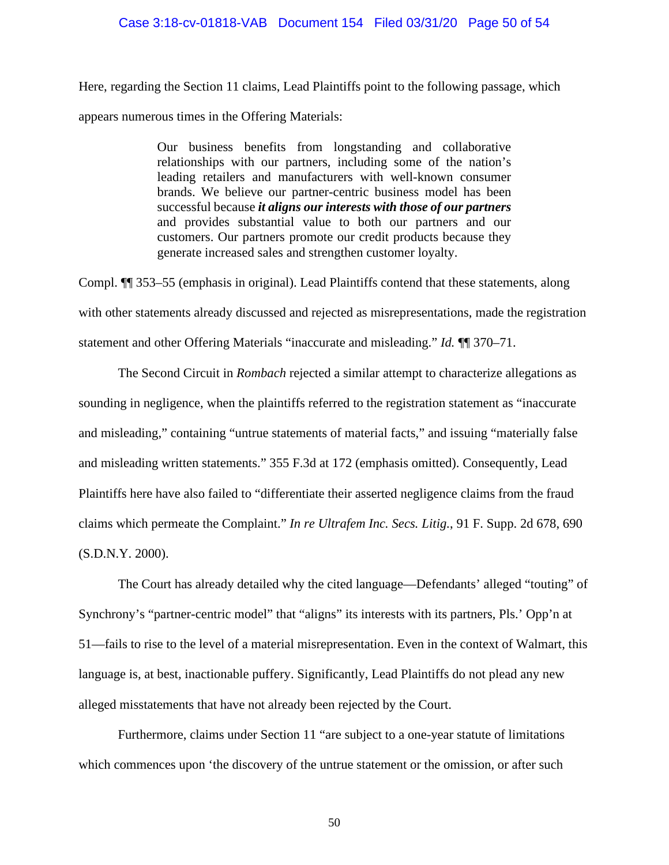## Case 3:18-cv-01818-VAB Document 154 Filed 03/31/20 Page 50 of 54

Here, regarding the Section 11 claims, Lead Plaintiffs point to the following passage, which appears numerous times in the Offering Materials:

> Our business benefits from longstanding and collaborative relationships with our partners, including some of the nation's leading retailers and manufacturers with well-known consumer brands. We believe our partner-centric business model has been successful because *it aligns our interests with those of our partners*  and provides substantial value to both our partners and our customers. Our partners promote our credit products because they generate increased sales and strengthen customer loyalty.

Compl. ¶¶ 353–55 (emphasis in original). Lead Plaintiffs contend that these statements, along with other statements already discussed and rejected as misrepresentations, made the registration statement and other Offering Materials "inaccurate and misleading." *Id.* ¶¶ 370–71.

The Second Circuit in *Rombach* rejected a similar attempt to characterize allegations as sounding in negligence, when the plaintiffs referred to the registration statement as "inaccurate and misleading," containing "untrue statements of material facts," and issuing "materially false and misleading written statements." 355 F.3d at 172 (emphasis omitted). Consequently, Lead Plaintiffs here have also failed to "differentiate their asserted negligence claims from the fraud claims which permeate the Complaint." *In re Ultrafem Inc. Secs. Litig.*, 91 F. Supp. 2d 678, 690 (S.D.N.Y. 2000).

The Court has already detailed why the cited language—Defendants' alleged "touting" of Synchrony's "partner-centric model" that "aligns" its interests with its partners, Pls.' Opp'n at 51—fails to rise to the level of a material misrepresentation. Even in the context of Walmart, this language is, at best, inactionable puffery. Significantly, Lead Plaintiffs do not plead any new alleged misstatements that have not already been rejected by the Court.

Furthermore, claims under Section 11 "are subject to a one-year statute of limitations which commences upon 'the discovery of the untrue statement or the omission, or after such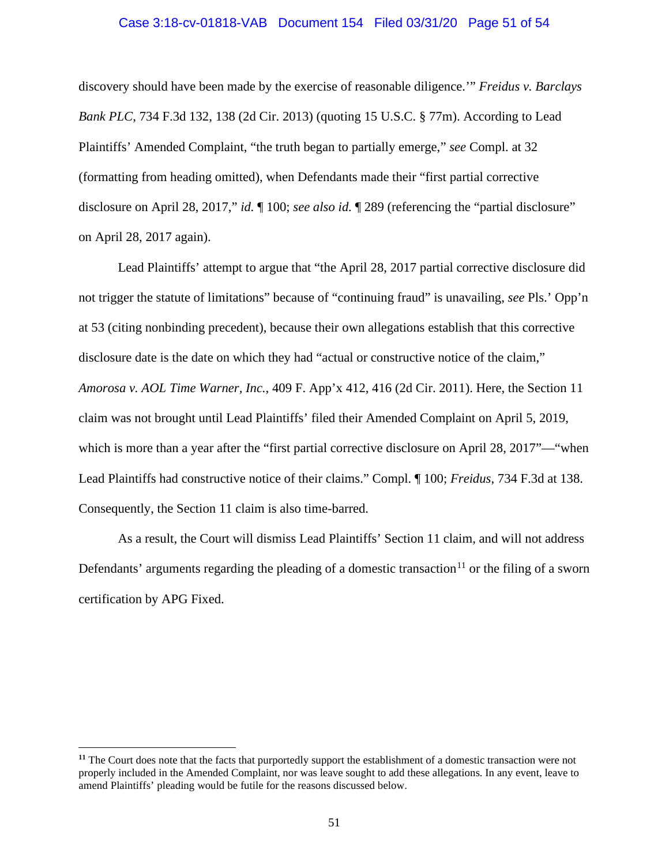#### Case 3:18-cv-01818-VAB Document 154 Filed 03/31/20 Page 51 of 54

discovery should have been made by the exercise of reasonable diligence.'" *Freidus v. Barclays Bank PLC*, 734 F.3d 132, 138 (2d Cir. 2013) (quoting 15 U.S.C. § 77m). According to Lead Plaintiffs' Amended Complaint, "the truth began to partially emerge," *see* Compl. at 32 (formatting from heading omitted), when Defendants made their "first partial corrective disclosure on April 28, 2017," *id.* ¶ 100; *see also id.* ¶ 289 (referencing the "partial disclosure" on April 28, 2017 again).

Lead Plaintiffs' attempt to argue that "the April 28, 2017 partial corrective disclosure did not trigger the statute of limitations" because of "continuing fraud" is unavailing, *see* Pls.' Opp'n at 53 (citing nonbinding precedent), because their own allegations establish that this corrective disclosure date is the date on which they had "actual or constructive notice of the claim," *Amorosa v. AOL Time Warner, Inc.*, 409 F. App'x 412, 416 (2d Cir. 2011). Here, the Section 11 claim was not brought until Lead Plaintiffs' filed their Amended Complaint on April 5, 2019, which is more than a year after the "first partial corrective disclosure on April 28, 2017"—"when Lead Plaintiffs had constructive notice of their claims." Compl. ¶ 100; *Freidus*, 734 F.3d at 138. Consequently, the Section 11 claim is also time-barred.

As a result, the Court will dismiss Lead Plaintiffs' Section 11 claim, and will not address Defendants' arguments regarding the pleading of a domestic transaction<sup>[11](#page-50-0)</sup> or the filing of a sworn certification by APG Fixed.

<span id="page-50-0"></span>**<sup>11</sup>** The Court does note that the facts that purportedly support the establishment of a domestic transaction were not properly included in the Amended Complaint, nor was leave sought to add these allegations. In any event, leave to amend Plaintiffs' pleading would be futile for the reasons discussed below.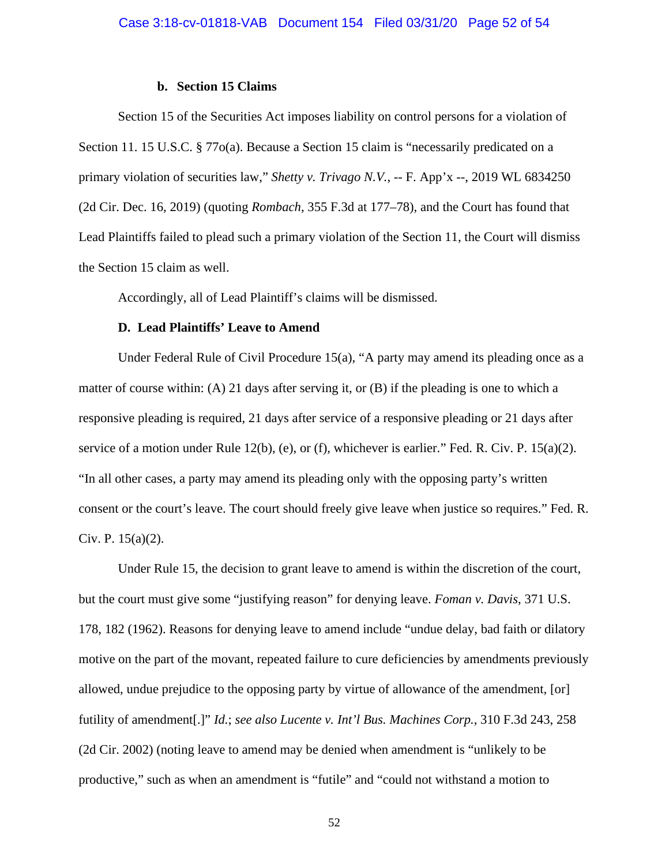#### **b. Section 15 Claims**

Section 15 of the Securities Act imposes liability on control persons for a violation of Section 11. 15 U.S.C. § 77 $o(a)$ . Because a Section 15 claim is "necessarily predicated on a primary violation of securities law," *Shetty v. Trivago N.V.*, -- F. App'x --, 2019 WL 6834250 (2d Cir. Dec. 16, 2019) (quoting *Rombach*, 355 F.3d at 177–78), and the Court has found that Lead Plaintiffs failed to plead such a primary violation of the Section 11, the Court will dismiss the Section 15 claim as well.

Accordingly, all of Lead Plaintiff's claims will be dismissed.

#### **D. Lead Plaintiffs' Leave to Amend**

Under Federal Rule of Civil Procedure 15(a), "A party may amend its pleading once as a matter of course within: (A) 21 days after serving it, or (B) if the pleading is one to which a responsive pleading is required, 21 days after service of a responsive pleading or 21 days after service of a motion under Rule 12(b), (e), or (f), whichever is earlier." Fed. R. Civ. P. 15(a)(2). "In all other cases, a party may amend its pleading only with the opposing party's written consent or the court's leave. The court should freely give leave when justice so requires." Fed. R. Civ. P.  $15(a)(2)$ .

Under Rule 15, the decision to grant leave to amend is within the discretion of the court, but the court must give some "justifying reason" for denying leave. *Foman v. Davis*, 371 U.S. 178, 182 (1962). Reasons for denying leave to amend include "undue delay, bad faith or dilatory motive on the part of the movant, repeated failure to cure deficiencies by amendments previously allowed, undue prejudice to the opposing party by virtue of allowance of the amendment, [or] futility of amendment[.]" *Id.*; *see also Lucente v. Int'l Bus. Machines Corp.*, 310 F.3d 243, 258 (2d Cir. 2002) (noting leave to amend may be denied when amendment is "unlikely to be productive," such as when an amendment is "futile" and "could not withstand a motion to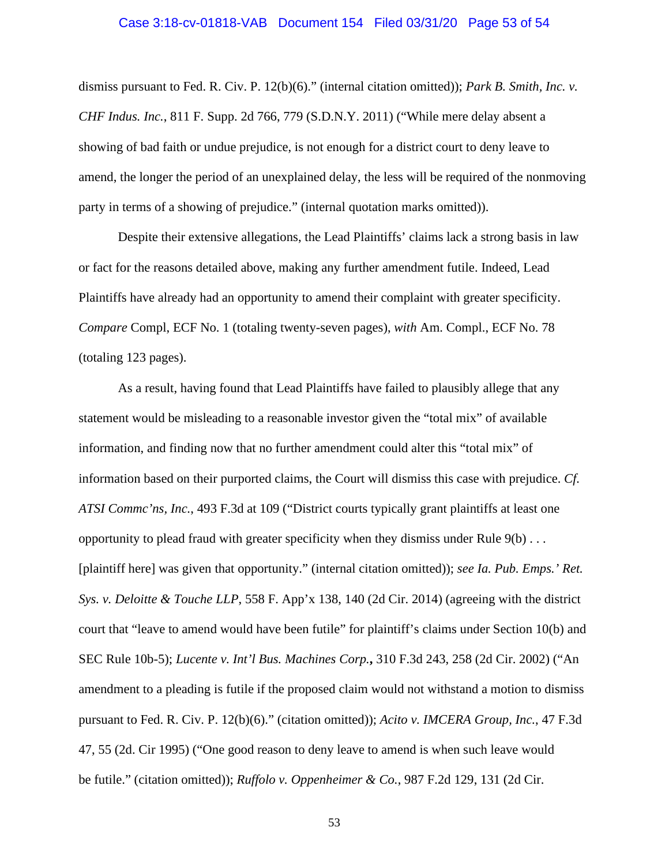#### Case 3:18-cv-01818-VAB Document 154 Filed 03/31/20 Page 53 of 54

dismiss pursuant to Fed. R. Civ. P. 12(b)(6)." (internal citation omitted)); *Park B. Smith, Inc. v. CHF Indus. Inc.*, 811 F. Supp. 2d 766, 779 (S.D.N.Y. 2011) ("While mere delay absent a showing of bad faith or undue prejudice, is not enough for a district court to deny leave to amend, the longer the period of an unexplained delay, the less will be required of the nonmoving party in terms of a showing of prejudice." (internal quotation marks omitted)).

Despite their extensive allegations, the Lead Plaintiffs' claims lack a strong basis in law or fact for the reasons detailed above, making any further amendment futile. Indeed, Lead Plaintiffs have already had an opportunity to amend their complaint with greater specificity. *Compare* Compl, ECF No. 1 (totaling twenty-seven pages), *with* Am. Compl., ECF No. 78 (totaling 123 pages).

As a result, having found that Lead Plaintiffs have failed to plausibly allege that any statement would be misleading to a reasonable investor given the "total mix" of available information, and finding now that no further amendment could alter this "total mix" of information based on their purported claims, the Court will dismiss this case with prejudice. *Cf. ATSI Commc'ns, Inc.*, 493 F.3d at 109 ("District courts typically grant plaintiffs at least one opportunity to plead fraud with greater specificity when they dismiss under Rule  $9(b) \ldots$ [plaintiff here] was given that opportunity." (internal citation omitted)); *see Ia. Pub. Emps.' Ret. Sys. v. Deloitte & Touche LLP*, 558 F. App'x 138, 140 (2d Cir. 2014) (agreeing with the district court that "leave to amend would have been futile" for plaintiff's claims under Section 10(b) and SEC Rule 10b-5); *Lucente v. Int'l Bus. Machines Corp.***,** 310 F.3d 243, 258 (2d Cir. 2002) ("An amendment to a pleading is futile if the proposed claim would not withstand a motion to dismiss pursuant to Fed. R. Civ. P. 12(b)(6)." (citation omitted)); *Acito v. IMCERA Group, Inc.*, 47 F.3d 47, 55 (2d. Cir 1995) ("One good reason to deny leave to amend is when such leave would be futile." (citation omitted)); *Ruffolo v. Oppenheimer & Co.*, 987 F.2d 129, 131 (2d Cir.